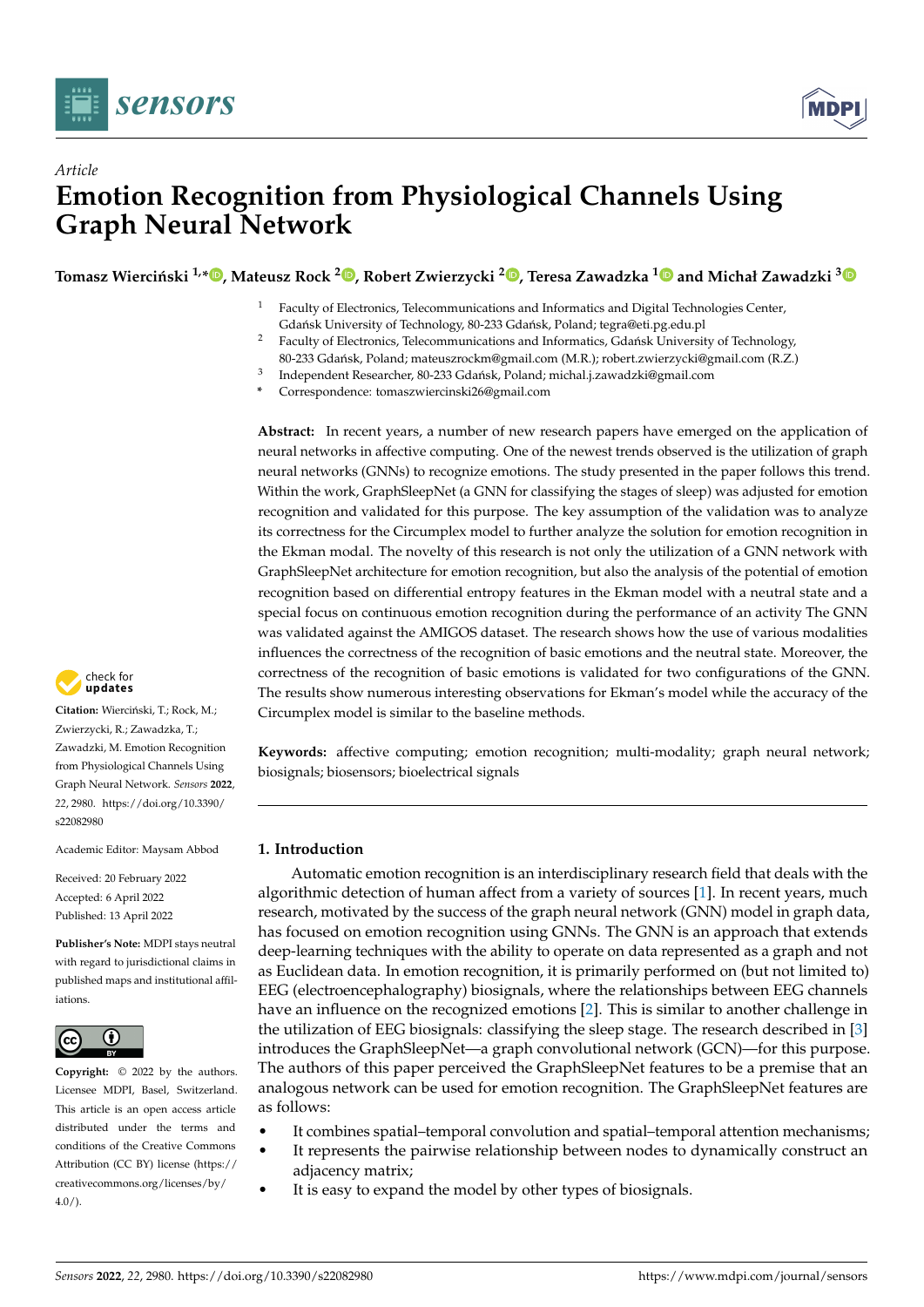



# *Article* **Emotion Recognition from Physiological Channels Using Graph Neural Network**

 $\Gamma$ Tomasz Wierciński <sup>1[,](https://orcid.org/0000-0001-6019-1601)</sup>\* $\bullet$ , Mateusz Rock <sup>2</sup> $\bullet$ , Robert Zwierzycki <sup>2</sup> $\bullet$ , Teresa Zawadzka <sup>[1](https://orcid.org/0000-0002-0544-5573)</sup> $\bullet$  and Michał Zawadzki  $^3$  $^3$ 

- <sup>1</sup> Faculty of Electronics, Telecommunications and Informatics and Digital Technologies Center, Gdańsk University of Technology, 80-233 Gdańsk, Poland; tegra@eti.pg.edu.pl
- <sup>2</sup> Faculty of Electronics, Telecommunications and Informatics, Gdańsk University of Technology,
- 80-233 Gdańsk, Poland; mateuszrockm@gmail.com (M.R.); robert.zwierzycki@gmail.com (R.Z.)
- 3 Independent Researcher, 80-233 Gdańsk, Poland; michal.j.zawadzki@gmail.com
- **\*** Correspondence: tomaszwiercinski26@gmail.com

**Abstract:** In recent years, a number of new research papers have emerged on the application of neural networks in affective computing. One of the newest trends observed is the utilization of graph neural networks (GNNs) to recognize emotions. The study presented in the paper follows this trend. Within the work, GraphSleepNet (a GNN for classifying the stages of sleep) was adjusted for emotion recognition and validated for this purpose. The key assumption of the validation was to analyze its correctness for the Circumplex model to further analyze the solution for emotion recognition in the Ekman modal. The novelty of this research is not only the utilization of a GNN network with GraphSleepNet architecture for emotion recognition, but also the analysis of the potential of emotion recognition based on differential entropy features in the Ekman model with a neutral state and a special focus on continuous emotion recognition during the performance of an activity The GNN was validated against the AMIGOS dataset. The research shows how the use of various modalities influences the correctness of the recognition of basic emotions and the neutral state. Moreover, the correctness of the recognition of basic emotions is validated for two configurations of the GNN. The results show numerous interesting observations for Ekman's model while the accuracy of the Circumplex model is similar to the baseline methods.

**Keywords:** affective computing; emotion recognition; multi-modality; graph neural network; biosignals; biosensors; bioelectrical signals

# **1. Introduction**

Automatic emotion recognition is an interdisciplinary research field that deals with the algorithmic detection of human affect from a variety of sources [\[1\]](#page-21-0). In recent years, much research, motivated by the success of the graph neural network (GNN) model in graph data, has focused on emotion recognition using GNNs. The GNN is an approach that extends deep-learning techniques with the ability to operate on data represented as a graph and not as Euclidean data. In emotion recognition, it is primarily performed on (but not limited to) EEG (electroencephalography) biosignals, where the relationships between EEG channels have an influence on the recognized emotions [\[2\]](#page-21-1). This is similar to another challenge in the utilization of EEG biosignals: classifying the sleep stage. The research described in [\[3\]](#page-21-2) introduces the GraphSleepNet—a graph convolutional network (GCN)—for this purpose. The authors of this paper perceived the GraphSleepNet features to be a premise that an analogous network can be used for emotion recognition. The GraphSleepNet features are as follows:

- It combines spatial–temporal convolution and spatial–temporal attention mechanisms;
- It represents the pairwise relationship between nodes to dynamically construct an adjacency matrix;
- It is easy to expand the model by other types of biosignals.



Citation: Wierciński, T.; Rock, M.; Zwierzycki, R.; Zawadzka, T.; Zawadzki, M. Emotion Recognition from Physiological Channels Using Graph Neural Network. *Sensors* **2022**, *22*, 2980. [https://doi.org/10.3390/](https://doi.org/10.3390/s22082980) [s22082980](https://doi.org/10.3390/s22082980)

Academic Editor: Maysam Abbod

Received: 20 February 2022 Accepted: 6 April 2022 Published: 13 April 2022

**Publisher's Note:** MDPI stays neutral with regard to jurisdictional claims in published maps and institutional affiliations.



**Copyright:** © 2022 by the authors. Licensee MDPI, Basel, Switzerland. This article is an open access article distributed under the terms and conditions of the Creative Commons Attribution (CC BY) license [\(https://](https://creativecommons.org/licenses/by/4.0/) [creativecommons.org/licenses/by/](https://creativecommons.org/licenses/by/4.0/)  $4.0/$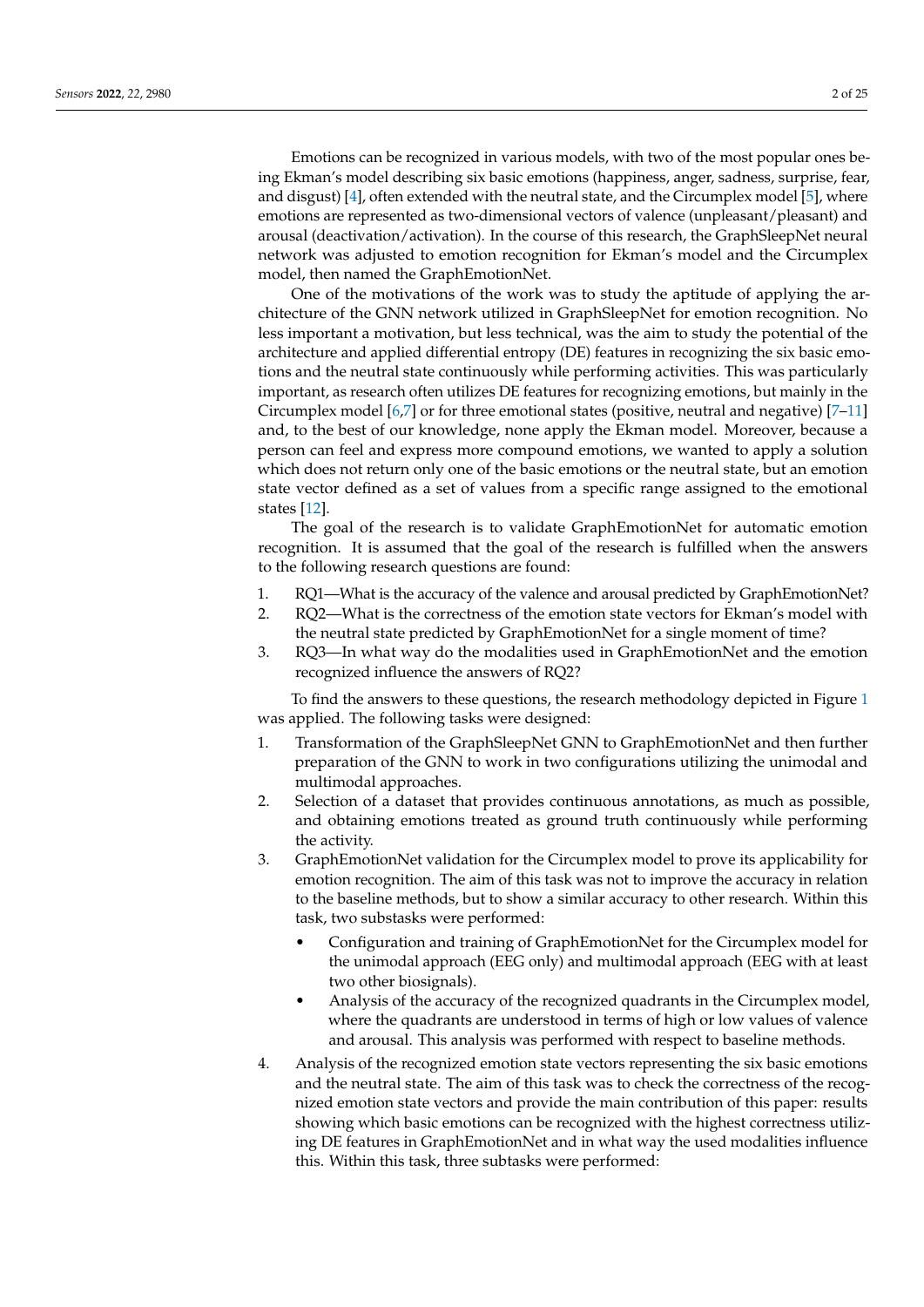Emotions can be recognized in various models, with two of the most popular ones being Ekman's model describing six basic emotions (happiness, anger, sadness, surprise, fear, and disgust) [\[4\]](#page-21-3), often extended with the neutral state, and the Circumplex model [\[5\]](#page-21-4), where emotions are represented as two-dimensional vectors of valence (unpleasant/pleasant) and arousal (deactivation/activation). In the course of this research, the GraphSleepNet neural

model, then named the GraphEmotionNet. One of the motivations of the work was to study the aptitude of applying the architecture of the GNN network utilized in GraphSleepNet for emotion recognition. No less important a motivation, but less technical, was the aim to study the potential of the architecture and applied differential entropy (DE) features in recognizing the six basic emotions and the neutral state continuously while performing activities. This was particularly important, as research often utilizes DE features for recognizing emotions, but mainly in the Circumplex model [\[6,](#page-21-5)[7\]](#page-21-6) or for three emotional states (positive, neutral and negative) [\[7](#page-21-6)[–11\]](#page-21-7) and, to the best of our knowledge, none apply the Ekman model. Moreover, because a person can feel and express more compound emotions, we wanted to apply a solution which does not return only one of the basic emotions or the neutral state, but an emotion state vector defined as a set of values from a specific range assigned to the emotional states [\[12\]](#page-21-8).

network was adjusted to emotion recognition for Ekman's model and the Circumplex

The goal of the research is to validate GraphEmotionNet for automatic emotion recognition. It is assumed that the goal of the research is fulfilled when the answers to the following research questions are found:

- 1. RQ1—What is the accuracy of the valence and arousal predicted by GraphEmotionNet?
- 2. RQ2—What is the correctness of the emotion state vectors for Ekman's model with the neutral state predicted by GraphEmotionNet for a single moment of time?
- 3. RQ3—In what way do the modalities used in GraphEmotionNet and the emotion recognized influence the answers of RQ2?

To find the answers to these questions, the research methodology depicted in Figure [1](#page-2-0) was applied. The following tasks were designed:

- 1. Transformation of the GraphSleepNet GNN to GraphEmotionNet and then further preparation of the GNN to work in two configurations utilizing the unimodal and multimodal approaches.
- 2. Selection of a dataset that provides continuous annotations, as much as possible, and obtaining emotions treated as ground truth continuously while performing the activity.
- 3. GraphEmotionNet validation for the Circumplex model to prove its applicability for emotion recognition. The aim of this task was not to improve the accuracy in relation to the baseline methods, but to show a similar accuracy to other research. Within this task, two substasks were performed:
	- Configuration and training of GraphEmotionNet for the Circumplex model for the unimodal approach (EEG only) and multimodal approach (EEG with at least two other biosignals).
	- Analysis of the accuracy of the recognized quadrants in the Circumplex model, where the quadrants are understood in terms of high or low values of valence and arousal. This analysis was performed with respect to baseline methods.
- 4. Analysis of the recognized emotion state vectors representing the six basic emotions and the neutral state. The aim of this task was to check the correctness of the recognized emotion state vectors and provide the main contribution of this paper: results showing which basic emotions can be recognized with the highest correctness utilizing DE features in GraphEmotionNet and in what way the used modalities influence this. Within this task, three subtasks were performed: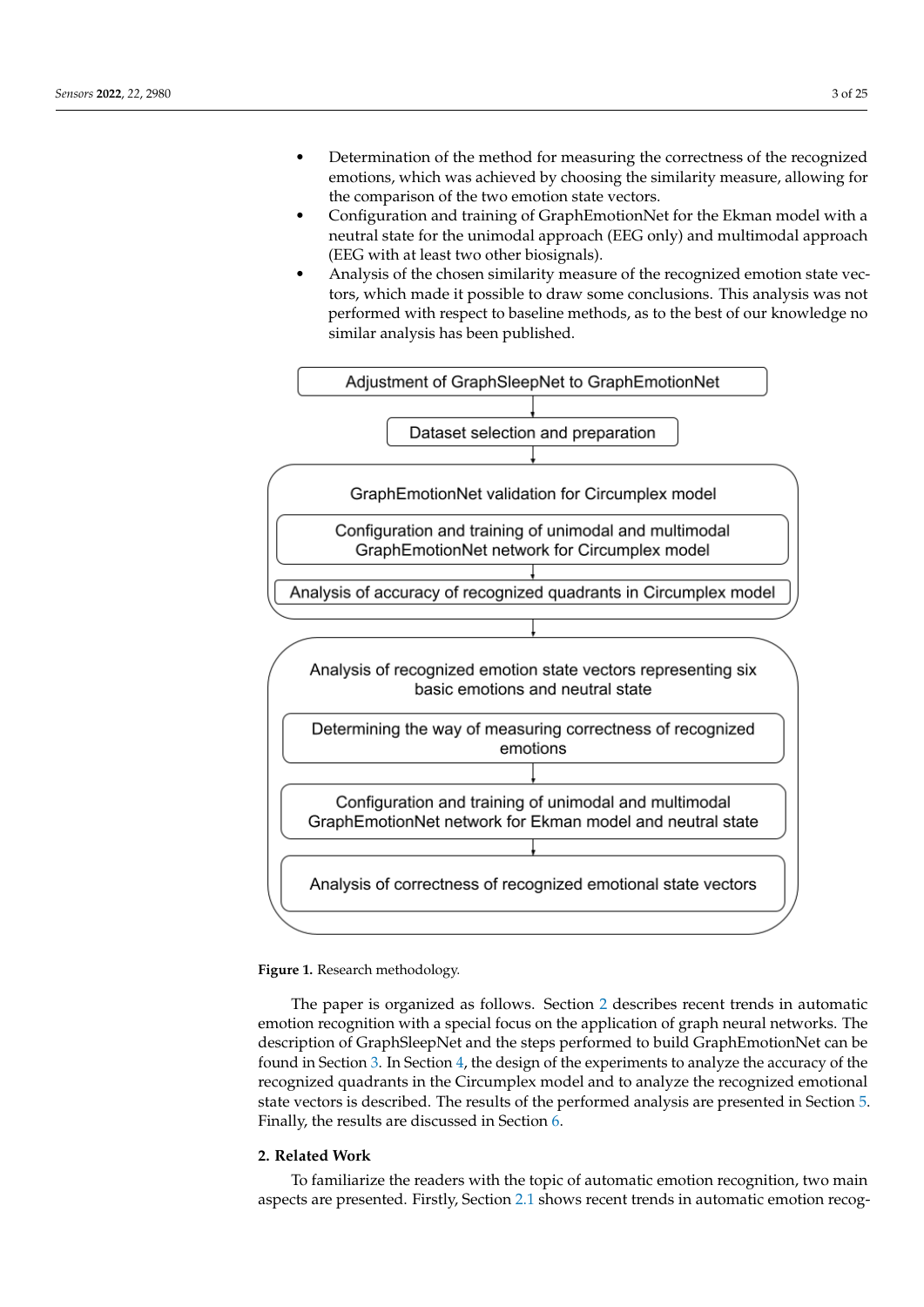- Determination of the method for measuring the correctness of the recognized emotions, which was achieved by choosing the similarity measure, allowing for the comparison of the two emotion state vectors.
- Configuration and training of GraphEmotionNet for the Ekman model with a neutral state for the unimodal approach (EEG only) and multimodal approach (EEG with at least two other biosignals).
- Analysis of the chosen similarity measure of the recognized emotion state vectors, which made it possible to draw some conclusions. This analysis was not performed with respect to baseline methods, as to the best of our knowledge no similar analysis has been published.

<span id="page-2-0"></span>

**Figure 1.** Research methodology.

The paper is organized as follows. Section [2](#page-2-1) describes recent trends in automatic emotion recognition with a special focus on the application of graph neural networks. The description of GraphSleepNet and the steps performed to build GraphEmotionNet can be found in Section [3.](#page-5-0) In Section [4,](#page-8-0) the design of the experiments to analyze the accuracy of the recognized quadrants in the Circumplex model and to analyze the recognized emotional state vectors is described. The results of the performed analysis are presented in Section [5.](#page-14-0) Finally, the results are discussed in Section [6.](#page-19-0)

# <span id="page-2-1"></span>**2. Related Work**

To familiarize the readers with the topic of automatic emotion recognition, two main aspects are presented. Firstly, Section [2.1](#page-3-0) shows recent trends in automatic emotion recog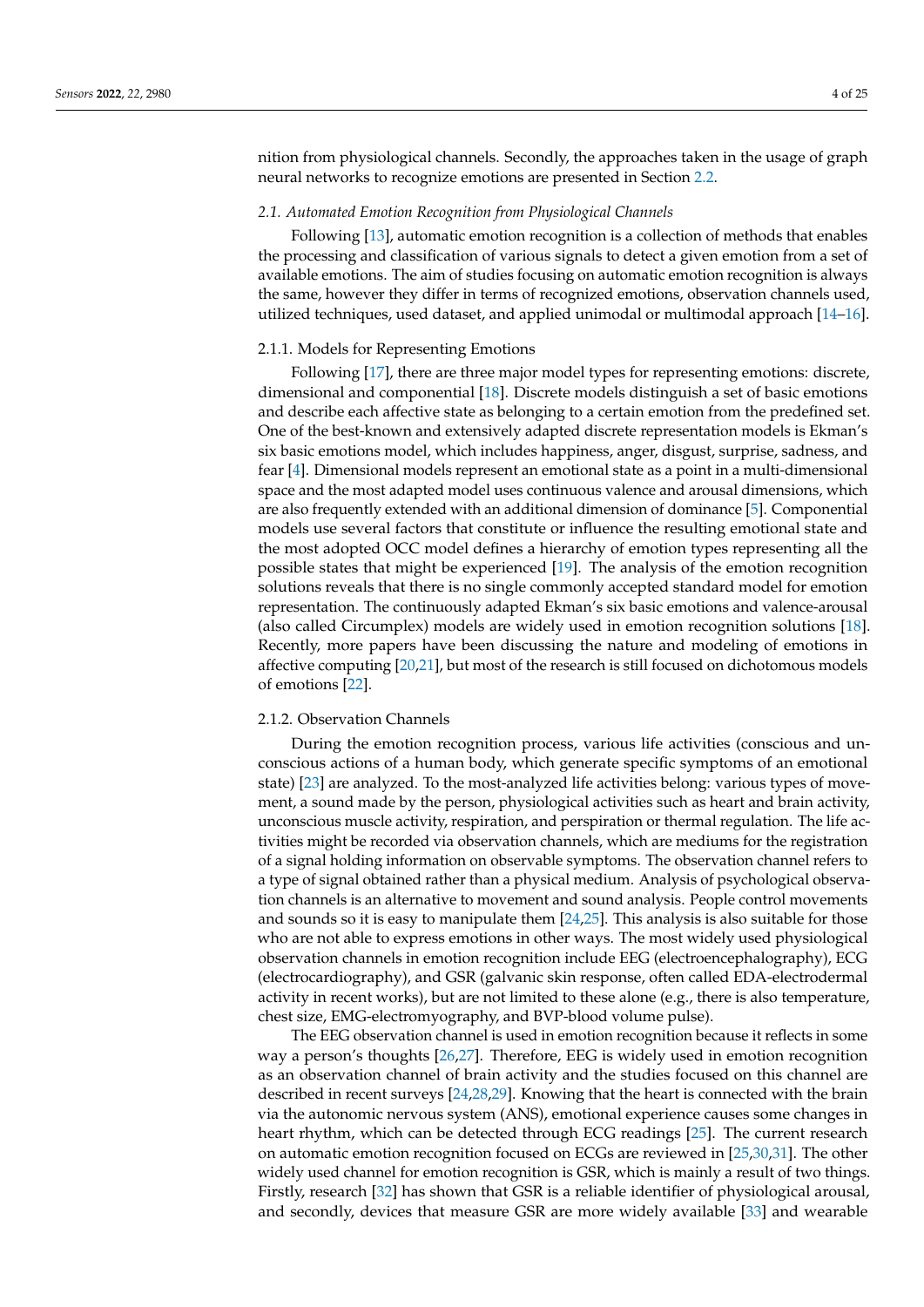nition from physiological channels. Secondly, the approaches taken in the usage of graph neural networks to recognize emotions are presented in Section [2.2.](#page-4-0)

#### <span id="page-3-0"></span>*2.1. Automated Emotion Recognition from Physiological Channels*

Following [\[13\]](#page-21-9), automatic emotion recognition is a collection of methods that enables the processing and classification of various signals to detect a given emotion from a set of available emotions. The aim of studies focusing on automatic emotion recognition is always the same, however they differ in terms of recognized emotions, observation channels used, utilized techniques, used dataset, and applied unimodal or multimodal approach [\[14–](#page-21-10)[16\]](#page-21-11).

#### 2.1.1. Models for Representing Emotions

Following [\[17\]](#page-21-12), there are three major model types for representing emotions: discrete, dimensional and componential [\[18\]](#page-21-13). Discrete models distinguish a set of basic emotions and describe each affective state as belonging to a certain emotion from the predefined set. One of the best-known and extensively adapted discrete representation models is Ekman's six basic emotions model, which includes happiness, anger, disgust, surprise, sadness, and fear [\[4\]](#page-21-3). Dimensional models represent an emotional state as a point in a multi-dimensional space and the most adapted model uses continuous valence and arousal dimensions, which are also frequently extended with an additional dimension of dominance [\[5\]](#page-21-4). Componential models use several factors that constitute or influence the resulting emotional state and the most adopted OCC model defines a hierarchy of emotion types representing all the possible states that might be experienced [\[19\]](#page-21-14). The analysis of the emotion recognition solutions reveals that there is no single commonly accepted standard model for emotion representation. The continuously adapted Ekman's six basic emotions and valence-arousal (also called Circumplex) models are widely used in emotion recognition solutions [\[18\]](#page-21-13). Recently, more papers have been discussing the nature and modeling of emotions in affective computing [\[20,](#page-21-15)[21\]](#page-21-16), but most of the research is still focused on dichotomous models of emotions [\[22\]](#page-22-0).

# 2.1.2. Observation Channels

During the emotion recognition process, various life activities (conscious and unconscious actions of a human body, which generate specific symptoms of an emotional state) [\[23\]](#page-22-1) are analyzed. To the most-analyzed life activities belong: various types of movement, a sound made by the person, physiological activities such as heart and brain activity, unconscious muscle activity, respiration, and perspiration or thermal regulation. The life activities might be recorded via observation channels, which are mediums for the registration of a signal holding information on observable symptoms. The observation channel refers to a type of signal obtained rather than a physical medium. Analysis of psychological observation channels is an alternative to movement and sound analysis. People control movements and sounds so it is easy to manipulate them [\[24](#page-22-2)[,25\]](#page-22-3). This analysis is also suitable for those who are not able to express emotions in other ways. The most widely used physiological observation channels in emotion recognition include EEG (electroencephalography), ECG (electrocardiography), and GSR (galvanic skin response, often called EDA-electrodermal activity in recent works), but are not limited to these alone (e.g., there is also temperature, chest size, EMG-electromyography, and BVP-blood volume pulse).

The EEG observation channel is used in emotion recognition because it reflects in some way a person's thoughts [\[26,](#page-22-4)[27\]](#page-22-5). Therefore, EEG is widely used in emotion recognition as an observation channel of brain activity and the studies focused on this channel are described in recent surveys [\[24](#page-22-2)[,28](#page-22-6)[,29\]](#page-22-7). Knowing that the heart is connected with the brain via the autonomic nervous system (ANS), emotional experience causes some changes in heart rhythm, which can be detected through ECG readings [\[25\]](#page-22-3). The current research on automatic emotion recognition focused on ECGs are reviewed in [\[25](#page-22-3)[,30](#page-22-8)[,31\]](#page-22-9). The other widely used channel for emotion recognition is GSR, which is mainly a result of two things. Firstly, research [\[32\]](#page-22-10) has shown that GSR is a reliable identifier of physiological arousal, and secondly, devices that measure GSR are more widely available [\[33\]](#page-22-11) and wearable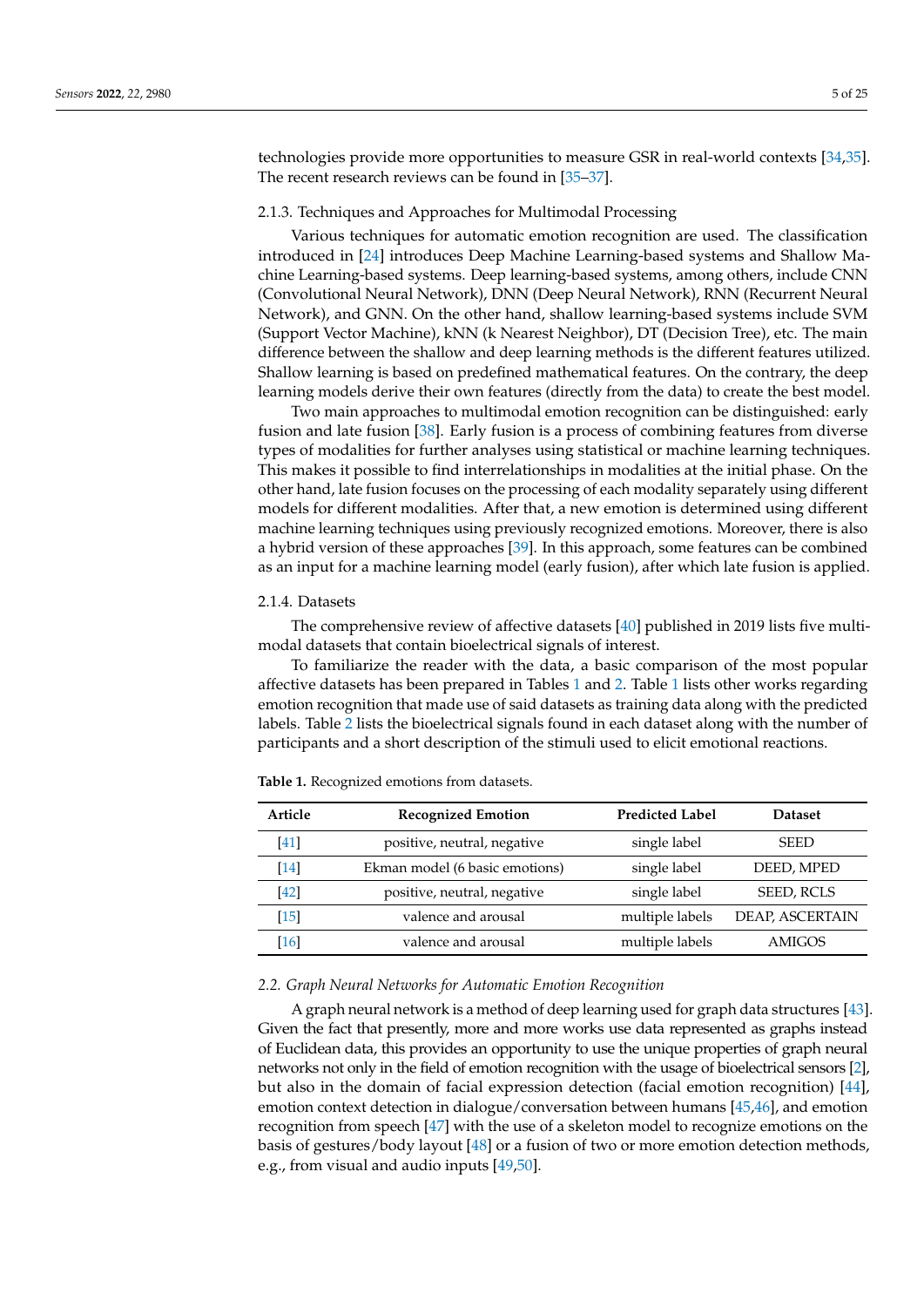technologies provide more opportunities to measure GSR in real-world contexts [\[34,](#page-22-12)[35\]](#page-22-13). The recent research reviews can be found in [\[35](#page-22-13)[–37\]](#page-22-14).

#### 2.1.3. Techniques and Approaches for Multimodal Processing

Various techniques for automatic emotion recognition are used. The classification introduced in [\[24\]](#page-22-2) introduces Deep Machine Learning-based systems and Shallow Machine Learning-based systems. Deep learning-based systems, among others, include CNN (Convolutional Neural Network), DNN (Deep Neural Network), RNN (Recurrent Neural Network), and GNN. On the other hand, shallow learning-based systems include SVM (Support Vector Machine), kNN (k Nearest Neighbor), DT (Decision Tree), etc. The main difference between the shallow and deep learning methods is the different features utilized. Shallow learning is based on predefined mathematical features. On the contrary, the deep learning models derive their own features (directly from the data) to create the best model.

Two main approaches to multimodal emotion recognition can be distinguished: early fusion and late fusion [\[38\]](#page-22-15). Early fusion is a process of combining features from diverse types of modalities for further analyses using statistical or machine learning techniques. This makes it possible to find interrelationships in modalities at the initial phase. On the other hand, late fusion focuses on the processing of each modality separately using different models for different modalities. After that, a new emotion is determined using different machine learning techniques using previously recognized emotions. Moreover, there is also a hybrid version of these approaches [\[39\]](#page-22-16). In this approach, some features can be combined as an input for a machine learning model (early fusion), after which late fusion is applied.

#### 2.1.4. Datasets

The comprehensive review of affective datasets [\[40\]](#page-22-17) published in 2019 lists five multimodal datasets that contain bioelectrical signals of interest.

To familiarize the reader with the data, a basic comparison of the most popular affective datasets has been prepared in Tables [1](#page-4-1) and [2.](#page-5-1) Table [1](#page-4-1) lists other works regarding emotion recognition that made use of said datasets as training data along with the predicted labels. Table [2](#page-5-1) lists the bioelectrical signals found in each dataset along with the number of participants and a short description of the stimuli used to elicit emotional reactions.

| Article | <b>Recognized Emotion</b>      | <b>Predicted Label</b> | <b>Dataset</b>  |
|---------|--------------------------------|------------------------|-----------------|
| $[41]$  | positive, neutral, negative    | single label           | <b>SEED</b>     |
| $[14]$  | Ekman model (6 basic emotions) | single label           | DEED, MPED      |
| $[42]$  | positive, neutral, negative    | single label           | SEED, RCLS      |
| [15]    | valence and arousal            | multiple labels        | DEAP, ASCERTAIN |
| [16]    | valence and arousal            | multiple labels        | AMIGOS          |

<span id="page-4-1"></span>**Table 1.** Recognized emotions from datasets.

## <span id="page-4-0"></span>*2.2. Graph Neural Networks for Automatic Emotion Recognition*

A graph neural network is a method of deep learning used for graph data structures [\[43\]](#page-22-20). Given the fact that presently, more and more works use data represented as graphs instead of Euclidean data, this provides an opportunity to use the unique properties of graph neural networks not only in the field of emotion recognition with the usage of bioelectrical sensors [\[2\]](#page-21-1), but also in the domain of facial expression detection (facial emotion recognition) [\[44\]](#page-22-21), emotion context detection in dialogue/conversation between humans [\[45](#page-22-22)[,46\]](#page-22-23), and emotion recognition from speech [\[47\]](#page-22-24) with the use of a skeleton model to recognize emotions on the basis of gestures/body layout [\[48\]](#page-23-0) or a fusion of two or more emotion detection methods, e.g., from visual and audio inputs [\[49](#page-23-1)[,50\]](#page-23-2).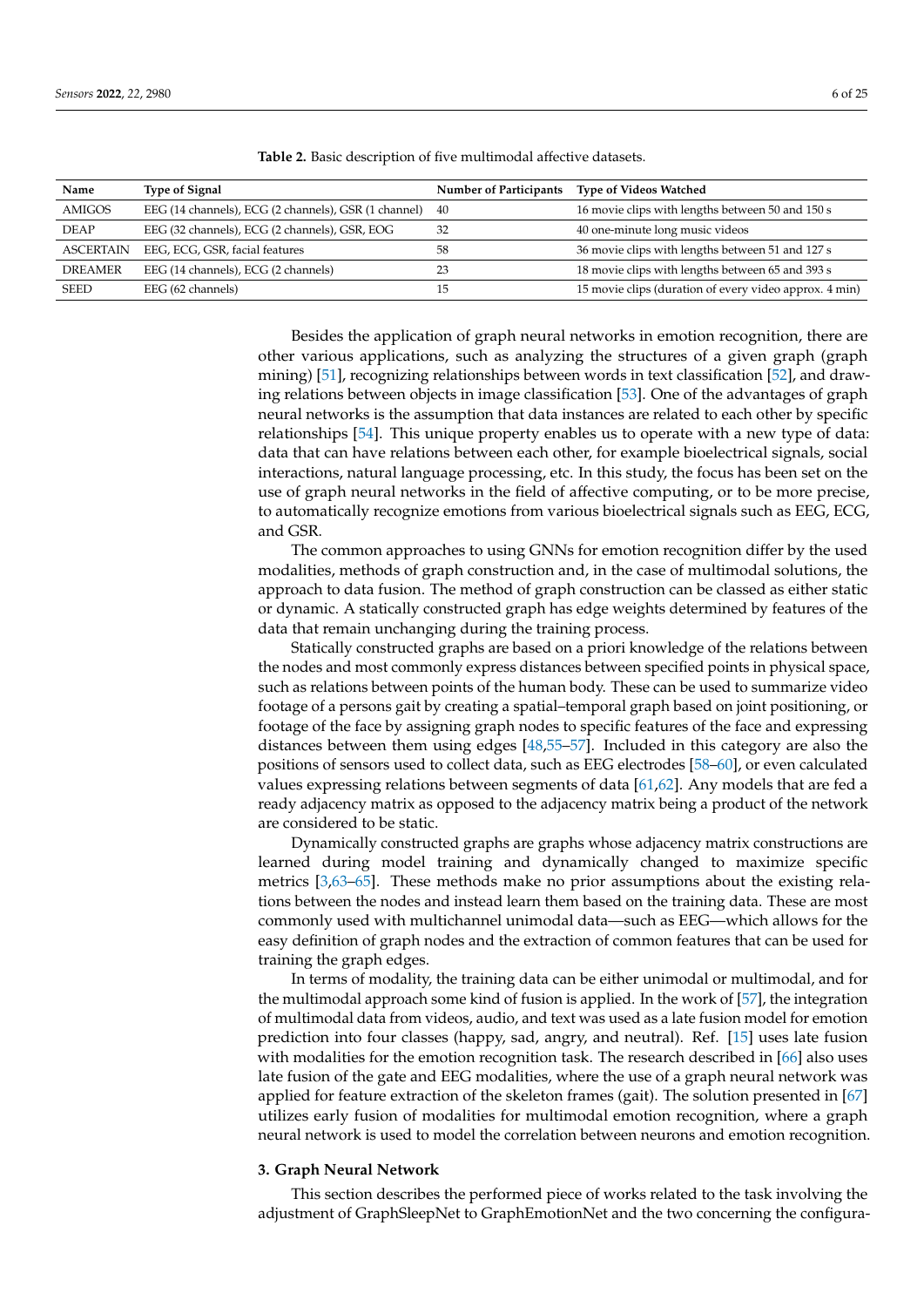| Name             | <b>Type of Signal</b>                                | <b>Number of Participants</b> | <b>Type of Videos Watched</b>                          |
|------------------|------------------------------------------------------|-------------------------------|--------------------------------------------------------|
| <b>AMIGOS</b>    | EEG (14 channels), ECG (2 channels), GSR (1 channel) | - 40                          | 16 movie clips with lengths between 50 and 150 s       |
| <b>DEAP</b>      | EEG (32 channels), ECG (2 channels), GSR, EOG        | 32                            | 40 one-minute long music videos                        |
| <b>ASCERTAIN</b> | EEG, ECG, GSR, facial features                       | 58                            | 36 movie clips with lengths between 51 and 127 s       |
| <b>DREAMER</b>   | EEG (14 channels), ECG (2 channels)                  |                               | 18 movie clips with lengths between 65 and 393 s       |
| <b>SEED</b>      | EEG (62 channels)                                    | 15                            | 15 movie clips (duration of every video approx. 4 min) |

<span id="page-5-1"></span>**Table 2.** Basic description of five multimodal affective datasets.

Besides the application of graph neural networks in emotion recognition, there are other various applications, such as analyzing the structures of a given graph (graph mining) [\[51\]](#page-23-3), recognizing relationships between words in text classification [\[52\]](#page-23-4), and drawing relations between objects in image classification [\[53\]](#page-23-5). One of the advantages of graph neural networks is the assumption that data instances are related to each other by specific relationships [\[54\]](#page-23-6). This unique property enables us to operate with a new type of data: data that can have relations between each other, for example bioelectrical signals, social interactions, natural language processing, etc. In this study, the focus has been set on the use of graph neural networks in the field of affective computing, or to be more precise, to automatically recognize emotions from various bioelectrical signals such as EEG, ECG, and GSR.

The common approaches to using GNNs for emotion recognition differ by the used modalities, methods of graph construction and, in the case of multimodal solutions, the approach to data fusion. The method of graph construction can be classed as either static or dynamic. A statically constructed graph has edge weights determined by features of the data that remain unchanging during the training process.

Statically constructed graphs are based on a priori knowledge of the relations between the nodes and most commonly express distances between specified points in physical space, such as relations between points of the human body. These can be used to summarize video footage of a persons gait by creating a spatial–temporal graph based on joint positioning, or footage of the face by assigning graph nodes to specific features of the face and expressing distances between them using edges [\[48](#page-23-0)[,55](#page-23-7)[–57\]](#page-23-8). Included in this category are also the positions of sensors used to collect data, such as EEG electrodes [\[58](#page-23-9)[–60\]](#page-23-10), or even calculated values expressing relations between segments of data [\[61](#page-23-11)[,62\]](#page-23-12). Any models that are fed a ready adjacency matrix as opposed to the adjacency matrix being a product of the network are considered to be static.

Dynamically constructed graphs are graphs whose adjacency matrix constructions are learned during model training and dynamically changed to maximize specific metrics [\[3](#page-21-2)[,63–](#page-23-13)[65\]](#page-23-14). These methods make no prior assumptions about the existing relations between the nodes and instead learn them based on the training data. These are most commonly used with multichannel unimodal data—such as EEG—which allows for the easy definition of graph nodes and the extraction of common features that can be used for training the graph edges.

In terms of modality, the training data can be either unimodal or multimodal, and for the multimodal approach some kind of fusion is applied. In the work of [\[57\]](#page-23-8), the integration of multimodal data from videos, audio, and text was used as a late fusion model for emotion prediction into four classes (happy, sad, angry, and neutral). Ref. [\[15\]](#page-21-17) uses late fusion with modalities for the emotion recognition task. The research described in [\[66\]](#page-23-15) also uses late fusion of the gate and EEG modalities, where the use of a graph neural network was applied for feature extraction of the skeleton frames (gait). The solution presented in [\[67\]](#page-23-16) utilizes early fusion of modalities for multimodal emotion recognition, where a graph neural network is used to model the correlation between neurons and emotion recognition.

#### <span id="page-5-0"></span>**3. Graph Neural Network**

This section describes the performed piece of works related to the task involving the adjustment of GraphSleepNet to GraphEmotionNet and the two concerning the configura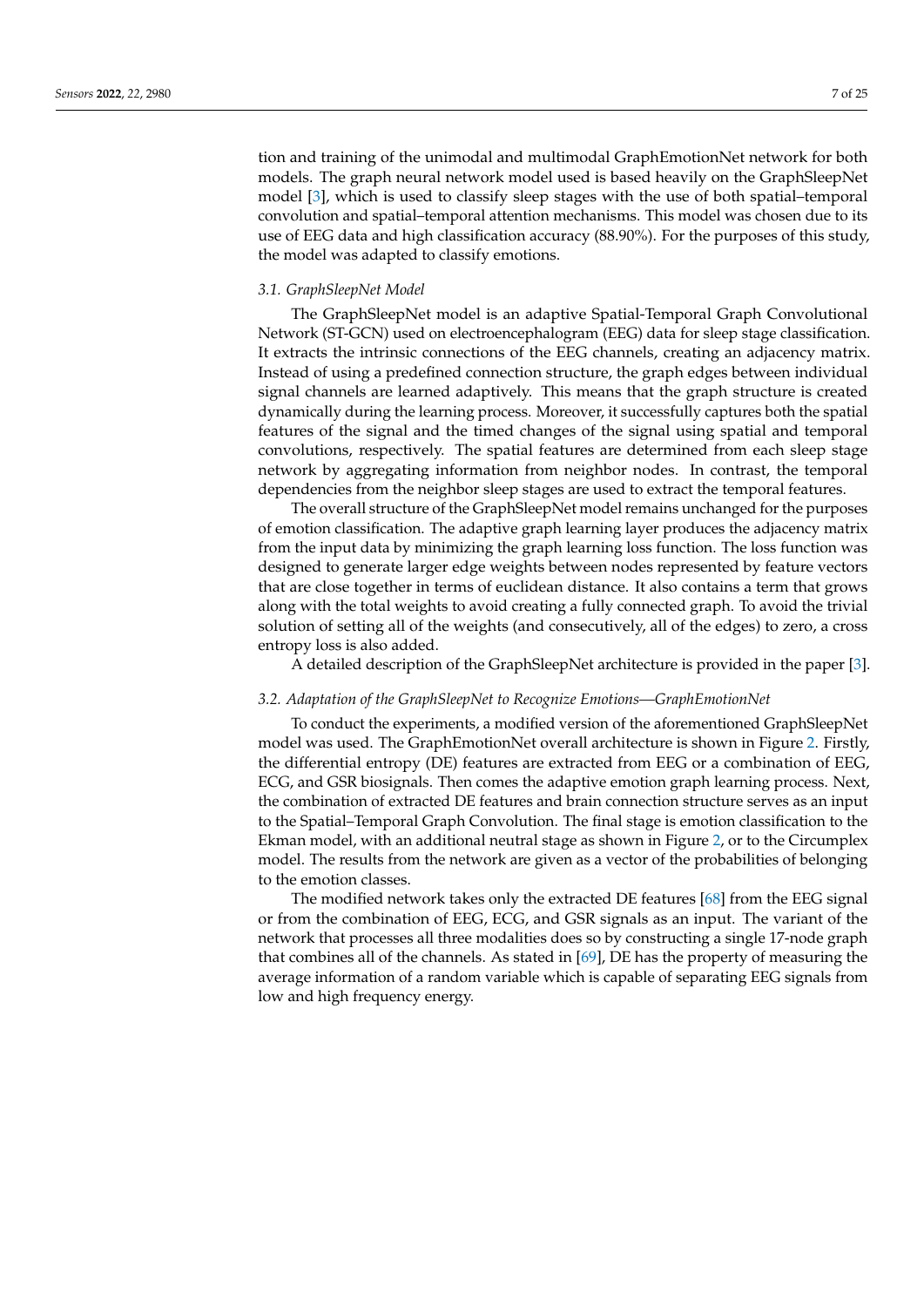tion and training of the unimodal and multimodal GraphEmotionNet network for both models. The graph neural network model used is based heavily on the GraphSleepNet model [\[3\]](#page-21-2), which is used to classify sleep stages with the use of both spatial–temporal convolution and spatial–temporal attention mechanisms. This model was chosen due to its use of EEG data and high classification accuracy (88.90%). For the purposes of this study, the model was adapted to classify emotions.

#### *3.1. GraphSleepNet Model*

The GraphSleepNet model is an adaptive Spatial-Temporal Graph Convolutional Network (ST-GCN) used on electroencephalogram (EEG) data for sleep stage classification. It extracts the intrinsic connections of the EEG channels, creating an adjacency matrix. Instead of using a predefined connection structure, the graph edges between individual signal channels are learned adaptively. This means that the graph structure is created dynamically during the learning process. Moreover, it successfully captures both the spatial features of the signal and the timed changes of the signal using spatial and temporal convolutions, respectively. The spatial features are determined from each sleep stage network by aggregating information from neighbor nodes. In contrast, the temporal dependencies from the neighbor sleep stages are used to extract the temporal features.

The overall structure of the GraphSleepNet model remains unchanged for the purposes of emotion classification. The adaptive graph learning layer produces the adjacency matrix from the input data by minimizing the graph learning loss function. The loss function was designed to generate larger edge weights between nodes represented by feature vectors that are close together in terms of euclidean distance. It also contains a term that grows along with the total weights to avoid creating a fully connected graph. To avoid the trivial solution of setting all of the weights (and consecutively, all of the edges) to zero, a cross entropy loss is also added.

A detailed description of the GraphSleepNet architecture is provided in the paper [\[3\]](#page-21-2).

### *3.2. Adaptation of the GraphSleepNet to Recognize Emotions—GraphEmotionNet*

To conduct the experiments, a modified version of the aforementioned GraphSleepNet model was used. The GraphEmotionNet overall architecture is shown in Figure [2.](#page-7-0) Firstly, the differential entropy (DE) features are extracted from EEG or a combination of EEG, ECG, and GSR biosignals. Then comes the adaptive emotion graph learning process. Next, the combination of extracted DE features and brain connection structure serves as an input to the Spatial–Temporal Graph Convolution. The final stage is emotion classification to the Ekman model, with an additional neutral stage as shown in Figure [2,](#page-7-0) or to the Circumplex model. The results from the network are given as a vector of the probabilities of belonging to the emotion classes.

The modified network takes only the extracted DE features [\[68\]](#page-23-17) from the EEG signal or from the combination of EEG, ECG, and GSR signals as an input. The variant of the network that processes all three modalities does so by constructing a single 17-node graph that combines all of the channels. As stated in [\[69\]](#page-23-18), DE has the property of measuring the average information of a random variable which is capable of separating EEG signals from low and high frequency energy.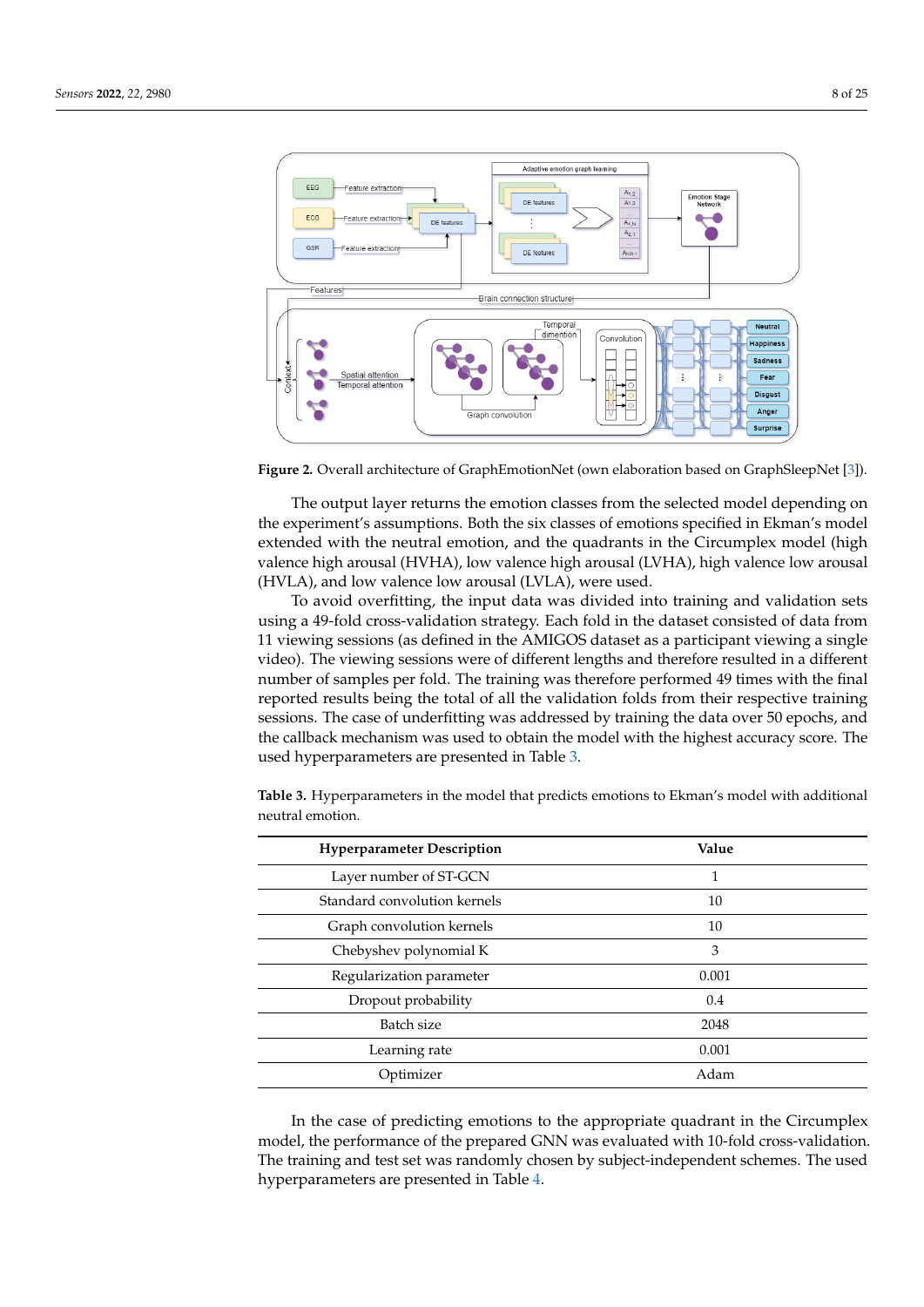<span id="page-7-0"></span>

**Figure 2.** Overall architecture of GraphEmotionNet (own elaboration based on GraphSleepNet [\[3\]](#page-21-2)).

The output layer returns the emotion classes from the selected model depending on the experiment's assumptions. Both the six classes of emotions specified in Ekman's model extended with the neutral emotion, and the quadrants in the Circumplex model (high valence high arousal (HVHA), low valence high arousal (LVHA), high valence low arousal (HVLA), and low valence low arousal (LVLA), were used.

To avoid overfitting, the input data was divided into training and validation sets using a 49-fold cross-validation strategy. Each fold in the dataset consisted of data from 11 viewing sessions (as defined in the AMIGOS dataset as a participant viewing a single video). The viewing sessions were of different lengths and therefore resulted in a different number of samples per fold. The training was therefore performed 49 times with the final reported results being the total of all the validation folds from their respective training sessions. The case of underfitting was addressed by training the data over 50 epochs, and the callback mechanism was used to obtain the model with the highest accuracy score. The used hyperparameters are presented in Table [3.](#page-7-1)

**Hyperparameter Description Value** Layer number of ST-GCN 1 Standard convolution kernels 10 Graph convolution kernels 10 Chebyshev polynomial K 3 Regularization parameter 0.001 Dropout probability 0.4 Batch size 2048 Learning rate 0.001 Optimizer Adam

<span id="page-7-1"></span>**Table 3.** Hyperparameters in the model that predicts emotions to Ekman's model with additional neutral emotion.

In the case of predicting emotions to the appropriate quadrant in the Circumplex model, the performance of the prepared GNN was evaluated with 10-fold cross-validation. The training and test set was randomly chosen by subject-independent schemes. The used hyperparameters are presented in Table [4.](#page-8-1)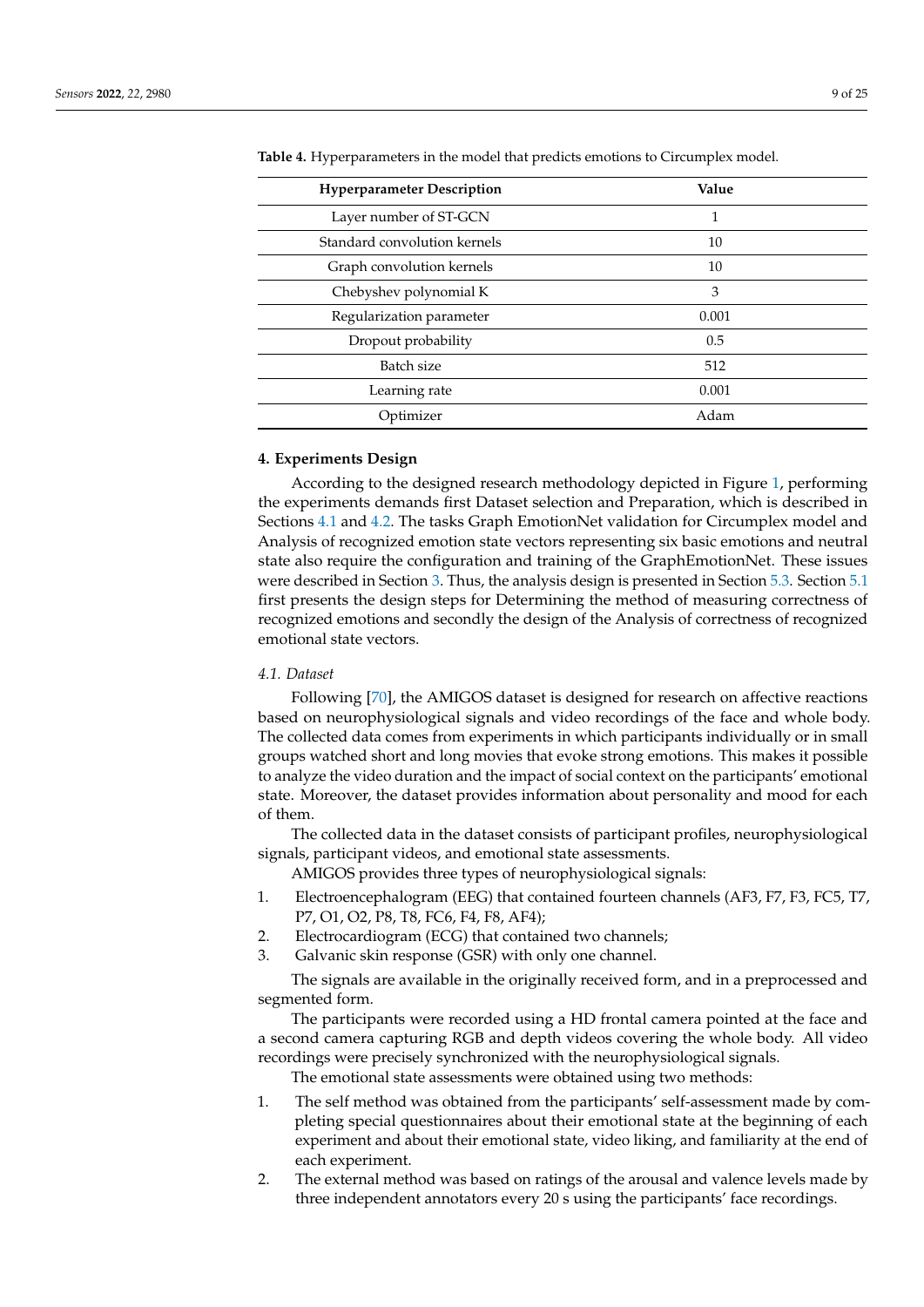| <b>Hyperparameter Description</b> | Value |  |  |
|-----------------------------------|-------|--|--|
| Layer number of ST-GCN            | 1     |  |  |
| Standard convolution kernels      | 10    |  |  |
| Graph convolution kernels         | 10    |  |  |
| Chebyshev polynomial K            | 3     |  |  |
| Regularization parameter          | 0.001 |  |  |
| Dropout probability               | 0.5   |  |  |
| Batch size                        | 512   |  |  |
| Learning rate                     | 0.001 |  |  |
| Optimizer                         | Adam  |  |  |

<span id="page-8-1"></span>**Table 4.** Hyperparameters in the model that predicts emotions to Circumplex model.

#### <span id="page-8-0"></span>**4. Experiments Design**

According to the designed research methodology depicted in Figure [1,](#page-2-0) performing the experiments demands first Dataset selection and Preparation, which is described in Sections [4.1](#page-8-2) and [4.2.](#page-9-0) The tasks Graph EmotionNet validation for Circumplex model and Analysis of recognized emotion state vectors representing six basic emotions and neutral state also require the configuration and training of the GraphEmotionNet. These issues were described in Section [3.](#page-5-0) Thus, the analysis design is presented in Section [5.3.](#page-16-0) Section [5.1](#page-14-1) first presents the design steps for Determining the method of measuring correctness of recognized emotions and secondly the design of the Analysis of correctness of recognized emotional state vectors.

# <span id="page-8-2"></span>*4.1. Dataset*

Following [\[70\]](#page-23-19), the AMIGOS dataset is designed for research on affective reactions based on neurophysiological signals and video recordings of the face and whole body. The collected data comes from experiments in which participants individually or in small groups watched short and long movies that evoke strong emotions. This makes it possible to analyze the video duration and the impact of social context on the participants' emotional state. Moreover, the dataset provides information about personality and mood for each of them.

The collected data in the dataset consists of participant profiles, neurophysiological signals, participant videos, and emotional state assessments.

AMIGOS provides three types of neurophysiological signals:

- 1. Electroencephalogram (EEG) that contained fourteen channels (AF3, F7, F3, FC5, T7, P7, O1, O2, P8, T8, FC6, F4, F8, AF4);
- 2. Electrocardiogram (ECG) that contained two channels;
- 3. Galvanic skin response (GSR) with only one channel.

The signals are available in the originally received form, and in a preprocessed and segmented form.

The participants were recorded using a HD frontal camera pointed at the face and a second camera capturing RGB and depth videos covering the whole body. All video recordings were precisely synchronized with the neurophysiological signals.

The emotional state assessments were obtained using two methods:

- 1. The self method was obtained from the participants' self-assessment made by completing special questionnaires about their emotional state at the beginning of each experiment and about their emotional state, video liking, and familiarity at the end of each experiment.
- 2. The external method was based on ratings of the arousal and valence levels made by three independent annotators every 20 s using the participants' face recordings.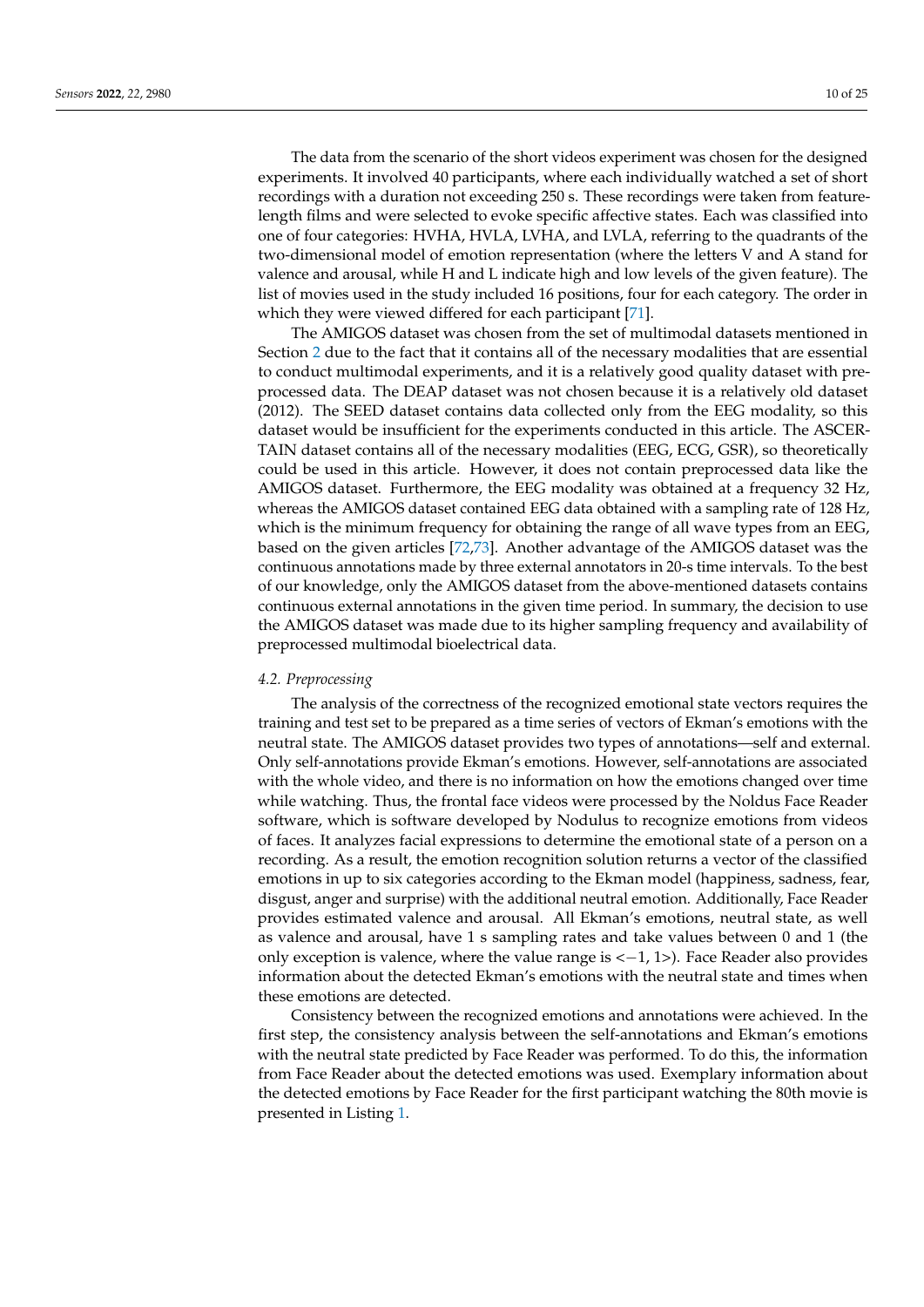The data from the scenario of the short videos experiment was chosen for the designed experiments. It involved 40 participants, where each individually watched a set of short recordings with a duration not exceeding 250 s. These recordings were taken from featurelength films and were selected to evoke specific affective states. Each was classified into one of four categories: HVHA, HVLA, LVHA, and LVLA, referring to the quadrants of the two-dimensional model of emotion representation (where the letters V and A stand for valence and arousal, while H and L indicate high and low levels of the given feature). The list of movies used in the study included 16 positions, four for each category. The order in which they were viewed differed for each participant [\[71\]](#page-23-20).

The AMIGOS dataset was chosen from the set of multimodal datasets mentioned in Section [2](#page-2-1) due to the fact that it contains all of the necessary modalities that are essential to conduct multimodal experiments, and it is a relatively good quality dataset with preprocessed data. The DEAP dataset was not chosen because it is a relatively old dataset (2012). The SEED dataset contains data collected only from the EEG modality, so this dataset would be insufficient for the experiments conducted in this article. The ASCER-TAIN dataset contains all of the necessary modalities (EEG, ECG, GSR), so theoretically could be used in this article. However, it does not contain preprocessed data like the AMIGOS dataset. Furthermore, the EEG modality was obtained at a frequency 32 Hz, whereas the AMIGOS dataset contained EEG data obtained with a sampling rate of 128 Hz, which is the minimum frequency for obtaining the range of all wave types from an EEG, based on the given articles [\[72](#page-23-21)[,73\]](#page-23-22). Another advantage of the AMIGOS dataset was the continuous annotations made by three external annotators in 20-s time intervals. To the best of our knowledge, only the AMIGOS dataset from the above-mentioned datasets contains continuous external annotations in the given time period. In summary, the decision to use the AMIGOS dataset was made due to its higher sampling frequency and availability of preprocessed multimodal bioelectrical data.

#### <span id="page-9-0"></span>*4.2. Preprocessing*

The analysis of the correctness of the recognized emotional state vectors requires the training and test set to be prepared as a time series of vectors of Ekman's emotions with the neutral state. The AMIGOS dataset provides two types of annotations—self and external. Only self-annotations provide Ekman's emotions. However, self-annotations are associated with the whole video, and there is no information on how the emotions changed over time while watching. Thus, the frontal face videos were processed by the Noldus Face Reader software, which is software developed by Nodulus to recognize emotions from videos of faces. It analyzes facial expressions to determine the emotional state of a person on a recording. As a result, the emotion recognition solution returns a vector of the classified emotions in up to six categories according to the Ekman model (happiness, sadness, fear, disgust, anger and surprise) with the additional neutral emotion. Additionally, Face Reader provides estimated valence and arousal. All Ekman's emotions, neutral state, as well as valence and arousal, have 1 s sampling rates and take values between 0 and 1 (the only exception is valence, where the value range is  $\langle -1, 1 \rangle$ . Face Reader also provides information about the detected Ekman's emotions with the neutral state and times when these emotions are detected.

Consistency between the recognized emotions and annotations were achieved. In the first step, the consistency analysis between the self-annotations and Ekman's emotions with the neutral state predicted by Face Reader was performed. To do this, the information from Face Reader about the detected emotions was used. Exemplary information about the detected emotions by Face Reader for the first participant watching the 80th movie is presented in Listing [1.](#page-10-0)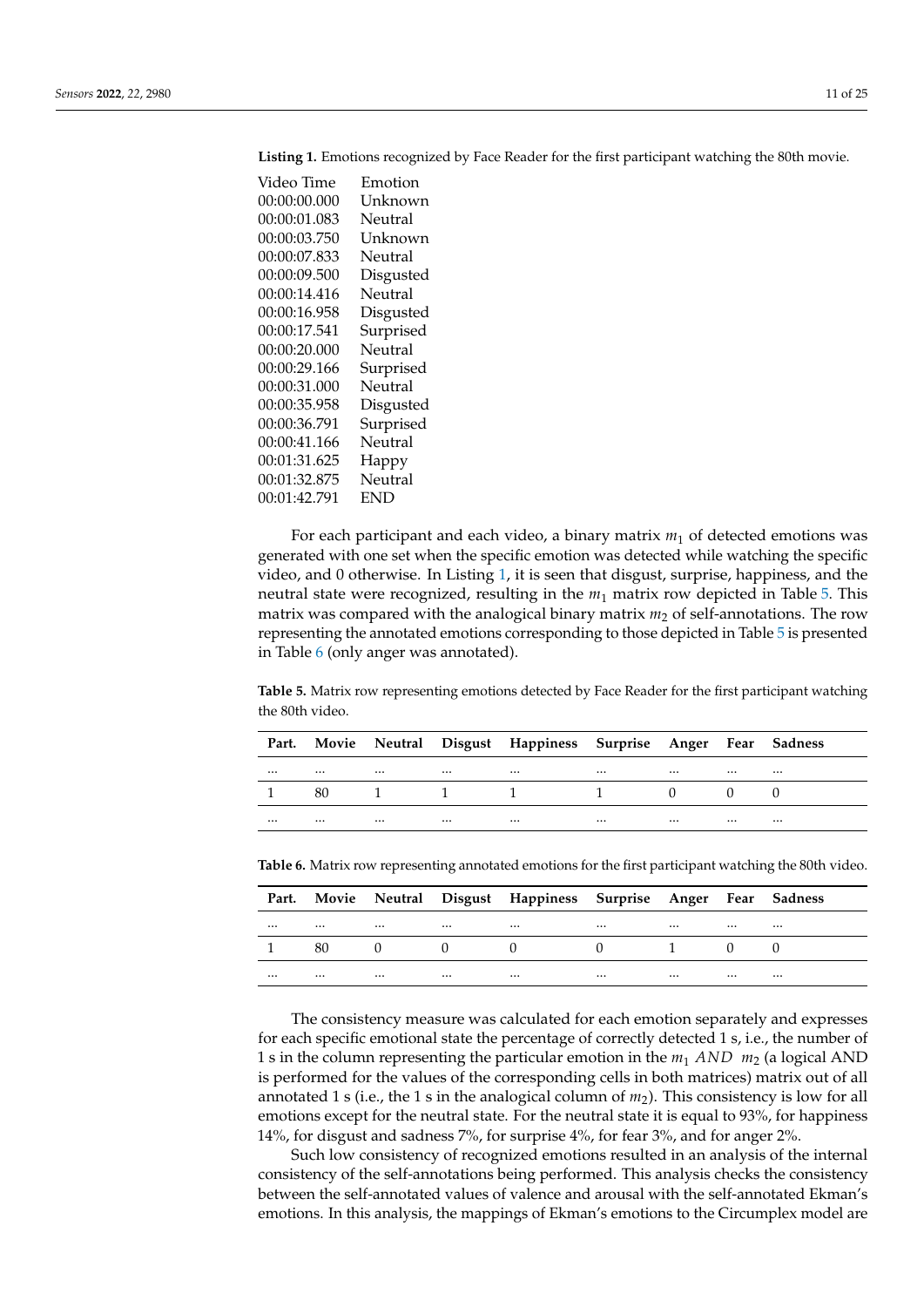Video Time Emotion 00:00:00.000 Unknown 00:00:01.083 Neutral 00:00:03.750 Unknown 00:00:07.833 Neutral 00:00:09.500 Disgusted 00:00:14.416 Neutral 00:00:16.958 Disgusted 00:00:17.541 Surprised 00:00:20.000 Neutral 00:00:29.166 Surprised 00:00:31.000 Neutral 00:00:35.958 Disgusted 00:00:36.791 Surprised 00:00:41.166 Neutral 00:01:31.625 Happy 00:01:32.875 Neutral 00:01:42.791 END

<span id="page-10-0"></span>**Listing 1.** Emotions recognized by Face Reader for the first participant watching the 80th movie.

For each participant and each video, a binary matrix *m*<sup>1</sup> of detected emotions was generated with one set when the specific emotion was detected while watching the specific video, and 0 otherwise. In Listing [1,](#page-10-0) it is seen that disgust, surprise, happiness, and the neutral state were recognized, resulting in the *m*<sup>1</sup> matrix row depicted in Table [5.](#page-10-1) This matrix was compared with the analogical binary matrix  $m_2$  of self-annotations. The row representing the annotated emotions corresponding to those depicted in Table [5](#page-10-1) is presented in Table [6](#page-10-2) (only anger was annotated).

<span id="page-10-1"></span>**Table 5.** Matrix row representing emotions detected by Face Reader for the first participant watching the 80th video.

|          |                                                       |                                                                                                                                                                                                                                  |          | Part. Movie Neutral Disgust Happiness Surprise Anger Fear Sadness |          |                                                                                                                 |          |          |
|----------|-------------------------------------------------------|----------------------------------------------------------------------------------------------------------------------------------------------------------------------------------------------------------------------------------|----------|-------------------------------------------------------------------|----------|-----------------------------------------------------------------------------------------------------------------|----------|----------|
| $\cdots$ |                                                       | $\cdots$ . The contract of the contract of the contract of the contract of the contract of the contract of the contract of the contract of the contract of the contract of the contract of the contract of the contract of the c |          |                                                                   |          | the contract of the contract of the contract of the contract of the contract of the contract of the contract of |          |          |
|          |                                                       |                                                                                                                                                                                                                                  |          | 80 1 1 1 1 1 0 0 0                                                |          |                                                                                                                 |          |          |
| $\cdots$ | $\cdots$<br>$\sim$ $\sim$ $\sim$ $\sim$ $\sim$ $\sim$ |                                                                                                                                                                                                                                  | $\cdots$ | $\cdots$                                                          | $\cdots$ |                                                                                                                 | $\cdots$ | $\cdots$ |

<span id="page-10-2"></span>**Table 6.** Matrix row representing annotated emotions for the first participant watching the 80th video.

|          |          |                                                                                                                                                                                                                                  |          | Part. Movie Neutral Disgust Happiness Surprise Anger Fear Sadness |                                            |                                                                                                                 |          |          |
|----------|----------|----------------------------------------------------------------------------------------------------------------------------------------------------------------------------------------------------------------------------------|----------|-------------------------------------------------------------------|--------------------------------------------|-----------------------------------------------------------------------------------------------------------------|----------|----------|
| $\cdots$ |          | $\cdots$ . The contract of the contract of the contract of the contract of the contract of the contract of the contract of the contract of the contract of the contract of the contract of the contract of the contract of the c |          |                                                                   | $\cdots$                                   | the contract of the contract of the contract of the contract of the contract of the contract of the contract of |          | $\cdots$ |
|          | 80       |                                                                                                                                                                                                                                  |          | $\begin{array}{ccc} 0 & 0 & 0 \end{array}$                        | $\begin{array}{ccc} 0 & 1 & 0 \end{array}$ |                                                                                                                 |          |          |
| $\cdots$ | $\cdots$ | $\cdots$                                                                                                                                                                                                                         | $\cdots$ | $\cdots$                                                          | $\cdots$                                   | $\cdots$                                                                                                        | $\cdots$ | $\cdots$ |

The consistency measure was calculated for each emotion separately and expresses for each specific emotional state the percentage of correctly detected 1 s, i.e., the number of 1 s in the column representing the particular emotion in the *m*<sup>1</sup> *AND m*<sup>2</sup> (a logical AND is performed for the values of the corresponding cells in both matrices) matrix out of all annotated 1 s (i.e., the 1 s in the analogical column of *m*2). This consistency is low for all emotions except for the neutral state. For the neutral state it is equal to 93%, for happiness 14%, for disgust and sadness 7%, for surprise 4%, for fear 3%, and for anger 2%.

Such low consistency of recognized emotions resulted in an analysis of the internal consistency of the self-annotations being performed. This analysis checks the consistency between the self-annotated values of valence and arousal with the self-annotated Ekman's emotions. In this analysis, the mappings of Ekman's emotions to the Circumplex model are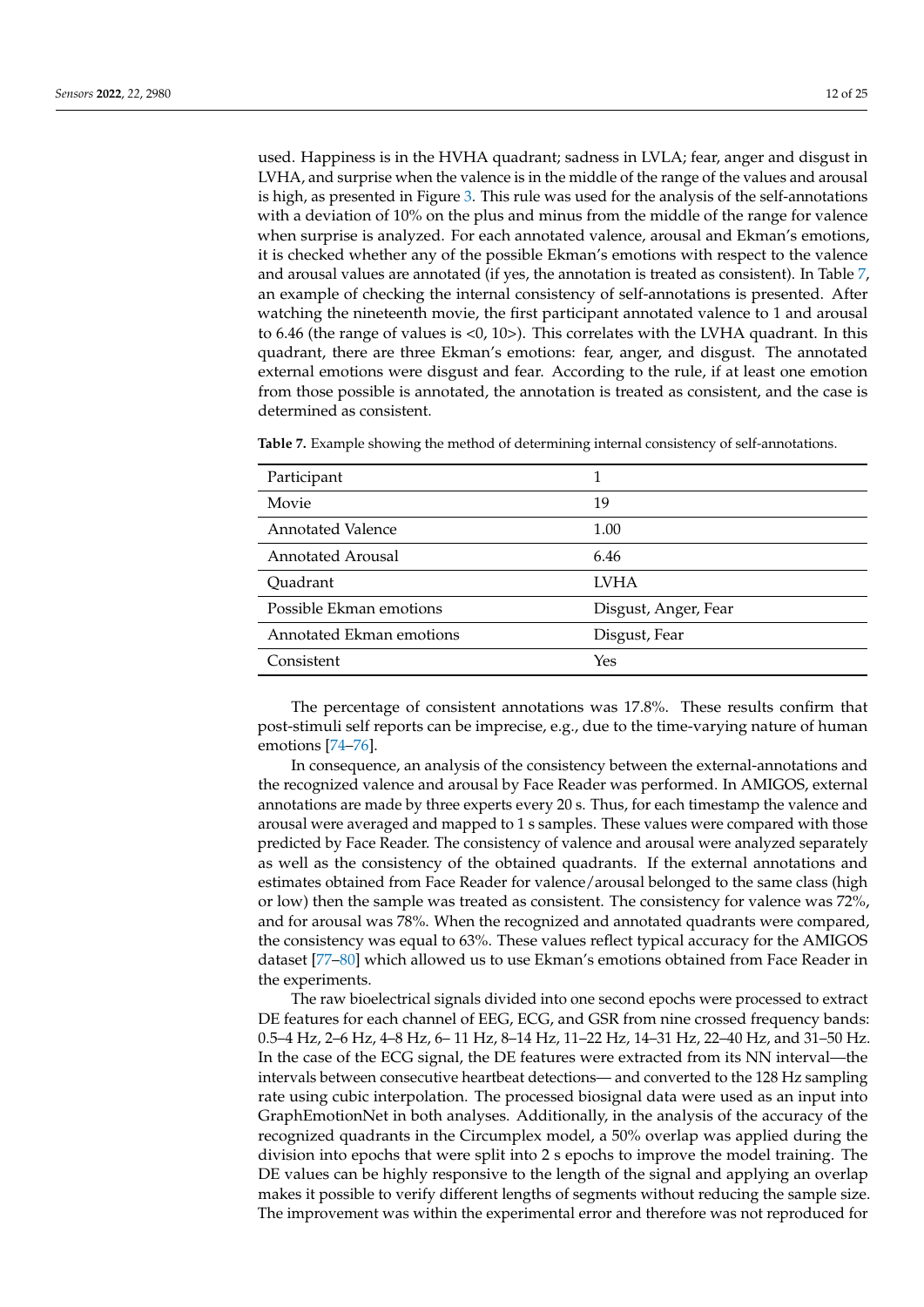used. Happiness is in the HVHA quadrant; sadness in LVLA; fear, anger and disgust in LVHA, and surprise when the valence is in the middle of the range of the values and arousal is high, as presented in Figure [3.](#page-12-0) This rule was used for the analysis of the self-annotations with a deviation of 10% on the plus and minus from the middle of the range for valence when surprise is analyzed. For each annotated valence, arousal and Ekman's emotions, it is checked whether any of the possible Ekman's emotions with respect to the valence and arousal values are annotated (if yes, the annotation is treated as consistent). In Table [7,](#page-11-0) an example of checking the internal consistency of self-annotations is presented. After watching the nineteenth movie, the first participant annotated valence to 1 and arousal to 6.46 (the range of values is <0, 10>). This correlates with the LVHA quadrant. In this quadrant, there are three Ekman's emotions: fear, anger, and disgust. The annotated external emotions were disgust and fear. According to the rule, if at least one emotion from those possible is annotated, the annotation is treated as consistent, and the case is determined as consistent.

| Participant              |                      |
|--------------------------|----------------------|
| Movie                    | 19                   |
|                          |                      |
| <b>Annotated Valence</b> | 1.00                 |
| <b>Annotated Arousal</b> | 6.46                 |
| Quadrant                 | <b>LVHA</b>          |
| Possible Ekman emotions  | Disgust, Anger, Fear |
| Annotated Ekman emotions | Disgust, Fear        |
| Consistent               | Yes                  |

<span id="page-11-0"></span>**Table 7.** Example showing the method of determining internal consistency of self-annotations.

The percentage of consistent annotations was 17.8%. These results confirm that post-stimuli self reports can be imprecise, e.g., due to the time-varying nature of human emotions [\[74–](#page-24-0)[76\]](#page-24-1).

In consequence, an analysis of the consistency between the external-annotations and the recognized valence and arousal by Face Reader was performed. In AMIGOS, external annotations are made by three experts every 20 s. Thus, for each timestamp the valence and arousal were averaged and mapped to 1 s samples. These values were compared with those predicted by Face Reader. The consistency of valence and arousal were analyzed separately as well as the consistency of the obtained quadrants. If the external annotations and estimates obtained from Face Reader for valence/arousal belonged to the same class (high or low) then the sample was treated as consistent. The consistency for valence was 72%, and for arousal was 78%. When the recognized and annotated quadrants were compared, the consistency was equal to 63%. These values reflect typical accuracy for the AMIGOS dataset [\[77–](#page-24-2)[80\]](#page-24-3) which allowed us to use Ekman's emotions obtained from Face Reader in the experiments.

The raw bioelectrical signals divided into one second epochs were processed to extract DE features for each channel of EEG, ECG, and GSR from nine crossed frequency bands: 0.5–4 Hz, 2–6 Hz, 4–8 Hz, 6– 11 Hz, 8–14 Hz, 11–22 Hz, 14–31 Hz, 22–40 Hz, and 31–50 Hz. In the case of the ECG signal, the DE features were extracted from its NN interval—the intervals between consecutive heartbeat detections— and converted to the 128 Hz sampling rate using cubic interpolation. The processed biosignal data were used as an input into GraphEmotionNet in both analyses. Additionally, in the analysis of the accuracy of the recognized quadrants in the Circumplex model, a 50% overlap was applied during the division into epochs that were split into 2 s epochs to improve the model training. The DE values can be highly responsive to the length of the signal and applying an overlap makes it possible to verify different lengths of segments without reducing the sample size. The improvement was within the experimental error and therefore was not reproduced for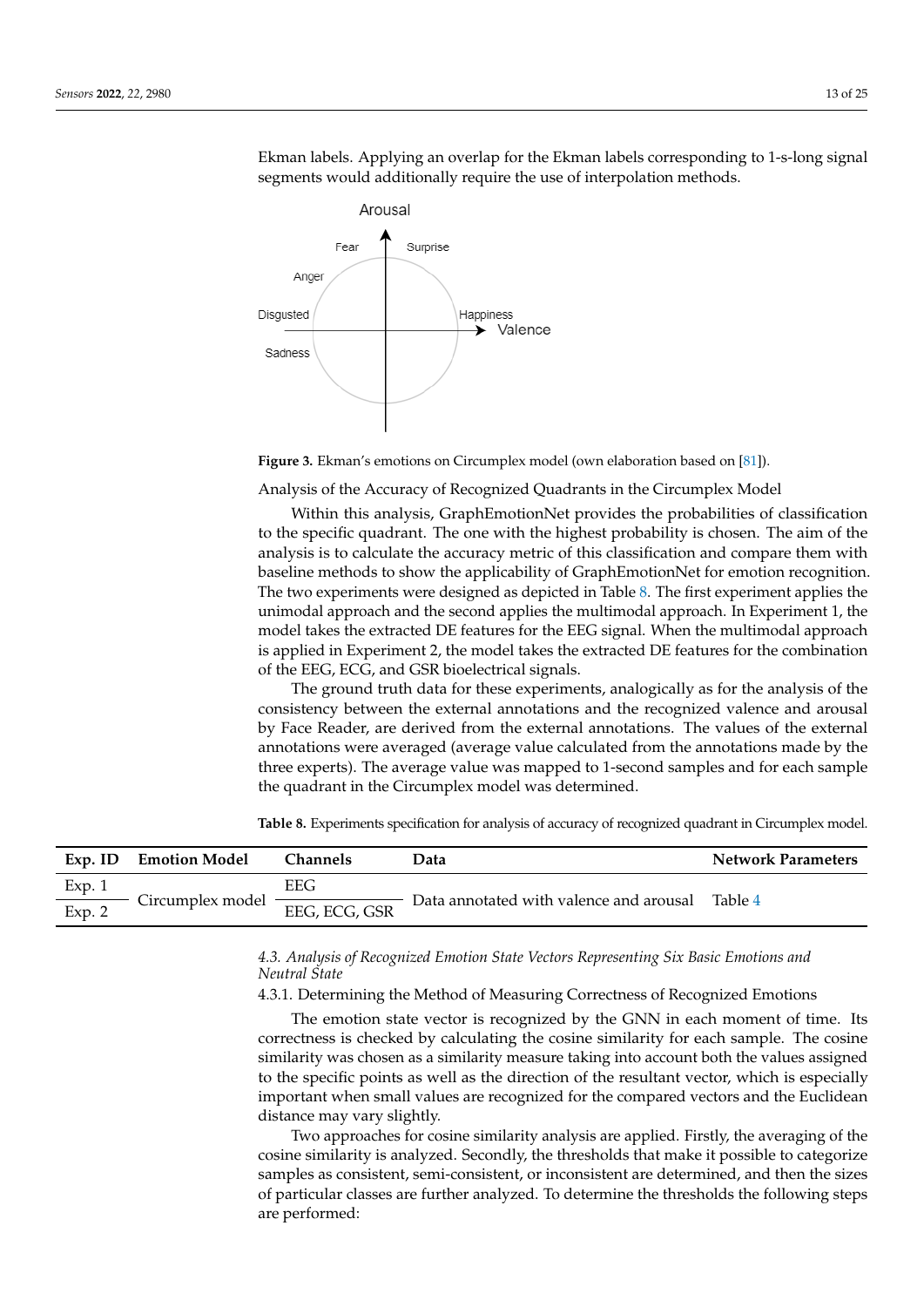Ekman labels. Applying an overlap for the Ekman labels corresponding to 1-s-long signal segments would additionally require the use of interpolation methods.

<span id="page-12-0"></span>

**Figure 3.** Ekman's emotions on Circumplex model (own elaboration based on [\[81\]](#page-24-4)).

Analysis of the Accuracy of Recognized Quadrants in the Circumplex Model

Within this analysis, GraphEmotionNet provides the probabilities of classification to the specific quadrant. The one with the highest probability is chosen. The aim of the analysis is to calculate the accuracy metric of this classification and compare them with baseline methods to show the applicability of GraphEmotionNet for emotion recognition. The two experiments were designed as depicted in Table [8.](#page-12-1) The first experiment applies the unimodal approach and the second applies the multimodal approach. In Experiment 1, the model takes the extracted DE features for the EEG signal. When the multimodal approach is applied in Experiment 2, the model takes the extracted DE features for the combination of the EEG, ECG, and GSR bioelectrical signals.

The ground truth data for these experiments, analogically as for the analysis of the consistency between the external annotations and the recognized valence and arousal by Face Reader, are derived from the external annotations. The values of the external annotations were averaged (average value calculated from the annotations made by the three experts). The average value was mapped to 1-second samples and for each sample the quadrant in the Circumplex model was determined.

<span id="page-12-1"></span>**Table 8.** Experiments specification for analysis of accuracy of recognized quadrant in Circumplex model.

| Exp. ID                 | <b>Emotion Model</b> | <b>Channels</b> | Data                                    | <b>Network Parameters</b> |  |
|-------------------------|----------------------|-----------------|-----------------------------------------|---------------------------|--|
| Exp. 1<br>$\frac{1}{2}$ |                      | EEG             |                                         | Table 4                   |  |
| Exp. 2                  | Circumplex model -   | EEG, ECG, GSR   | Data annotated with valence and arousal |                           |  |

# *4.3. Analysis of Recognized Emotion State Vectors Representing Six Basic Emotions and Neutral State*

4.3.1. Determining the Method of Measuring Correctness of Recognized Emotions

The emotion state vector is recognized by the GNN in each moment of time. Its correctness is checked by calculating the cosine similarity for each sample. The cosine similarity was chosen as a similarity measure taking into account both the values assigned to the specific points as well as the direction of the resultant vector, which is especially important when small values are recognized for the compared vectors and the Euclidean distance may vary slightly.

Two approaches for cosine similarity analysis are applied. Firstly, the averaging of the cosine similarity is analyzed. Secondly, the thresholds that make it possible to categorize samples as consistent, semi-consistent, or inconsistent are determined, and then the sizes of particular classes are further analyzed. To determine the thresholds the following steps are performed: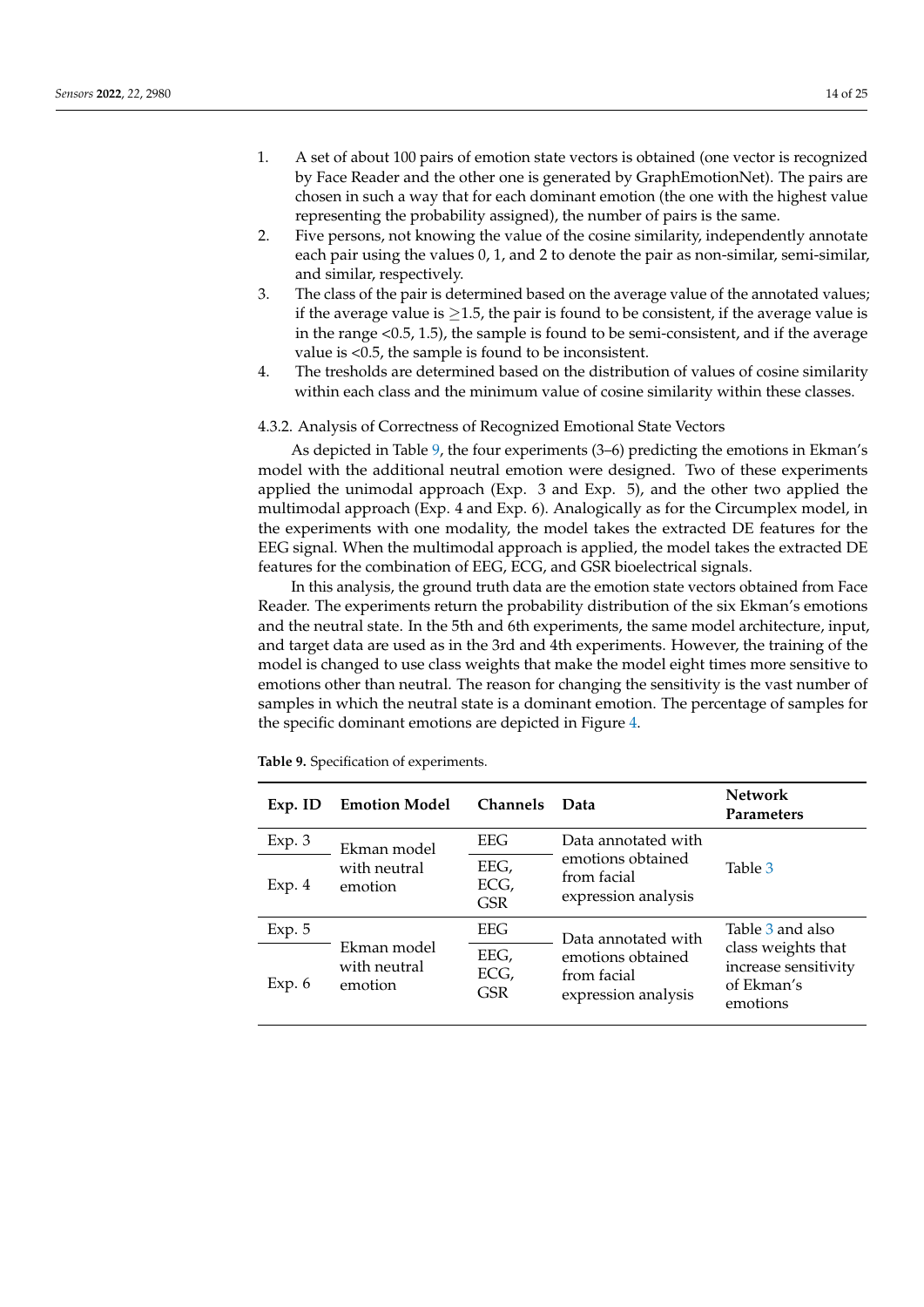- 1. A set of about 100 pairs of emotion state vectors is obtained (one vector is recognized by Face Reader and the other one is generated by GraphEmotionNet). The pairs are chosen in such a way that for each dominant emotion (the one with the highest value representing the probability assigned), the number of pairs is the same.
- 2. Five persons, not knowing the value of the cosine similarity, independently annotate each pair using the values 0, 1, and 2 to denote the pair as non-similar, semi-similar, and similar, respectively.
- 3. The class of the pair is determined based on the average value of the annotated values; if the average value is  $\geq$ 1.5, the pair is found to be consistent, if the average value is in the range <0.5, 1.5), the sample is found to be semi-consistent, and if the average value is <0.5, the sample is found to be inconsistent.
- 4. The tresholds are determined based on the distribution of values of cosine similarity within each class and the minimum value of cosine similarity within these classes.

#### 4.3.2. Analysis of Correctness of Recognized Emotional State Vectors

As depicted in Table [9,](#page-13-0) the four experiments (3–6) predicting the emotions in Ekman's model with the additional neutral emotion were designed. Two of these experiments applied the unimodal approach (Exp. 3 and Exp. 5), and the other two applied the multimodal approach (Exp. 4 and Exp. 6). Analogically as for the Circumplex model, in the experiments with one modality, the model takes the extracted DE features for the EEG signal. When the multimodal approach is applied, the model takes the extracted DE features for the combination of EEG, ECG, and GSR bioelectrical signals.

In this analysis, the ground truth data are the emotion state vectors obtained from Face Reader. The experiments return the probability distribution of the six Ekman's emotions and the neutral state. In the 5th and 6th experiments, the same model architecture, input, and target data are used as in the 3rd and 4th experiments. However, the training of the model is changed to use class weights that make the model eight times more sensitive to emotions other than neutral. The reason for changing the sensitivity is the vast number of samples in which the neutral state is a dominant emotion. The percentage of samples for the specific dominant emotions are depicted in Figure [4.](#page-14-2)

| $Exp.$ ID | <b>Emotion Model</b><br><b>Channels</b> |                            | Data                                                    | <b>Network</b><br><b>Parameters</b>                                  |  |
|-----------|-----------------------------------------|----------------------------|---------------------------------------------------------|----------------------------------------------------------------------|--|
| Exp.3     | Ekman model                             | EEG                        | Data annotated with                                     | Table 3                                                              |  |
| Exp. 4    | with neutral<br>emotion                 | EEG,<br>ECG,<br><b>GSR</b> | emotions obtained<br>from facial<br>expression analysis |                                                                      |  |
| Exp. 5    |                                         | EEG                        | Data annotated with                                     | Table 3 and also                                                     |  |
| Exp. $6$  | Ekman model<br>with neutral<br>emotion  | EEG,<br>ECG,<br>GSR        | emotions obtained<br>from facial<br>expression analysis | class weights that<br>increase sensitivity<br>of Ekman's<br>emotions |  |

<span id="page-13-0"></span>**Table 9.** Specification of experiments.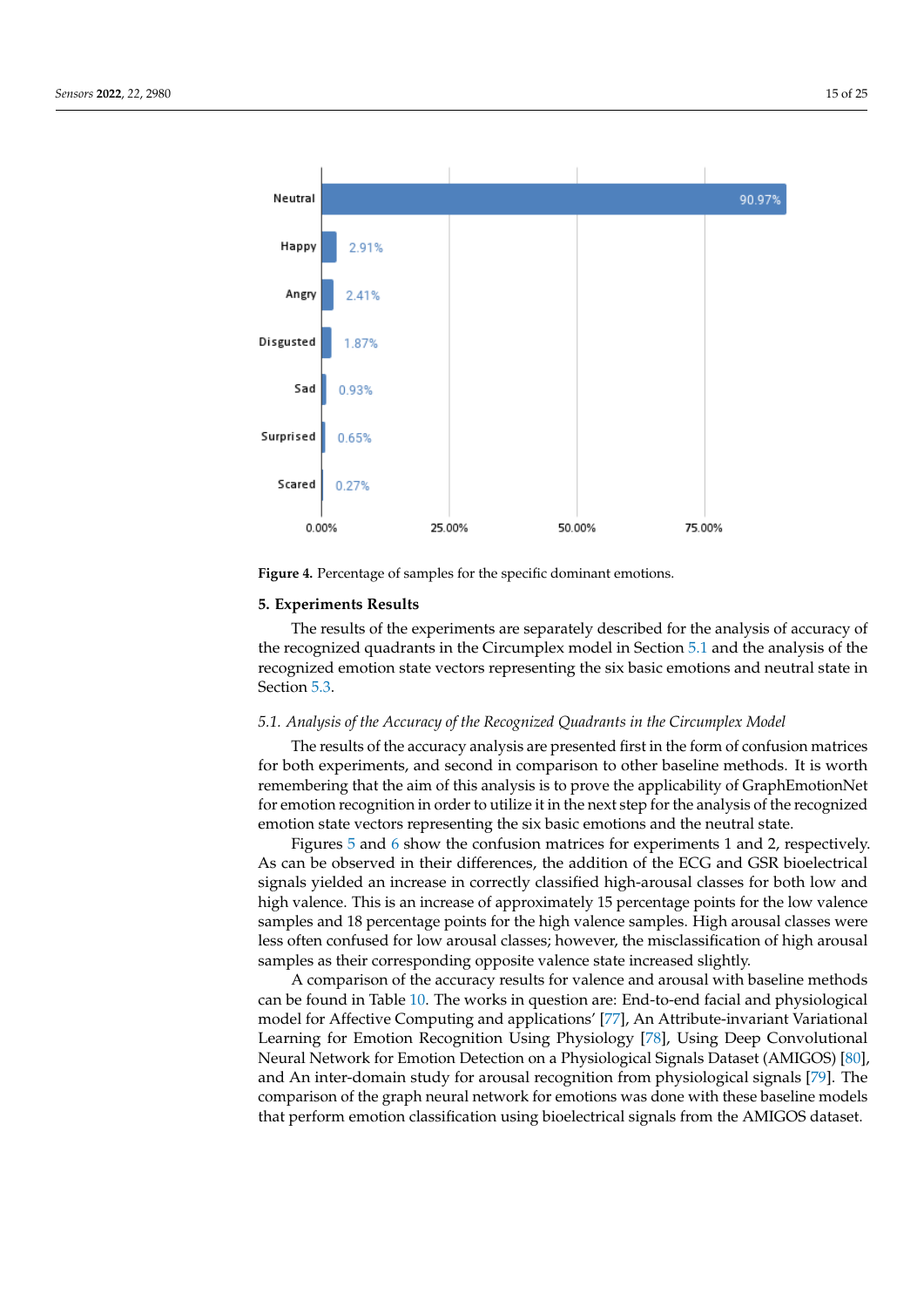<span id="page-14-2"></span>

**Figure 4.** Percentage of samples for the specific dominant emotions.

# <span id="page-14-0"></span>**5. Experiments Results**

The results of the experiments are separately described for the analysis of accuracy of the recognized quadrants in the Circumplex model in Section [5.1](#page-14-1) and the analysis of the recognized emotion state vectors representing the six basic emotions and neutral state in Section [5.3.](#page-16-0)

#### <span id="page-14-1"></span>*5.1. Analysis of the Accuracy of the Recognized Quadrants in the Circumplex Model*

The results of the accuracy analysis are presented first in the form of confusion matrices for both experiments, and second in comparison to other baseline methods. It is worth remembering that the aim of this analysis is to prove the applicability of GraphEmotionNet for emotion recognition in order to utilize it in the next step for the analysis of the recognized emotion state vectors representing the six basic emotions and the neutral state.

Figures [5](#page-15-0) and [6](#page-15-1) show the confusion matrices for experiments 1 and 2, respectively. As can be observed in their differences, the addition of the ECG and GSR bioelectrical signals yielded an increase in correctly classified high-arousal classes for both low and high valence. This is an increase of approximately 15 percentage points for the low valence samples and 18 percentage points for the high valence samples. High arousal classes were less often confused for low arousal classes; however, the misclassification of high arousal samples as their corresponding opposite valence state increased slightly.

A comparison of the accuracy results for valence and arousal with baseline methods can be found in Table [10.](#page-15-2) The works in question are: End-to-end facial and physiological model for Affective Computing and applications' [\[77\]](#page-24-2), An Attribute-invariant Variational Learning for Emotion Recognition Using Physiology [\[78\]](#page-24-5), Using Deep Convolutional Neural Network for Emotion Detection on a Physiological Signals Dataset (AMIGOS) [\[80\]](#page-24-3), and An inter-domain study for arousal recognition from physiological signals [\[79\]](#page-24-6). The comparison of the graph neural network for emotions was done with these baseline models that perform emotion classification using bioelectrical signals from the AMIGOS dataset.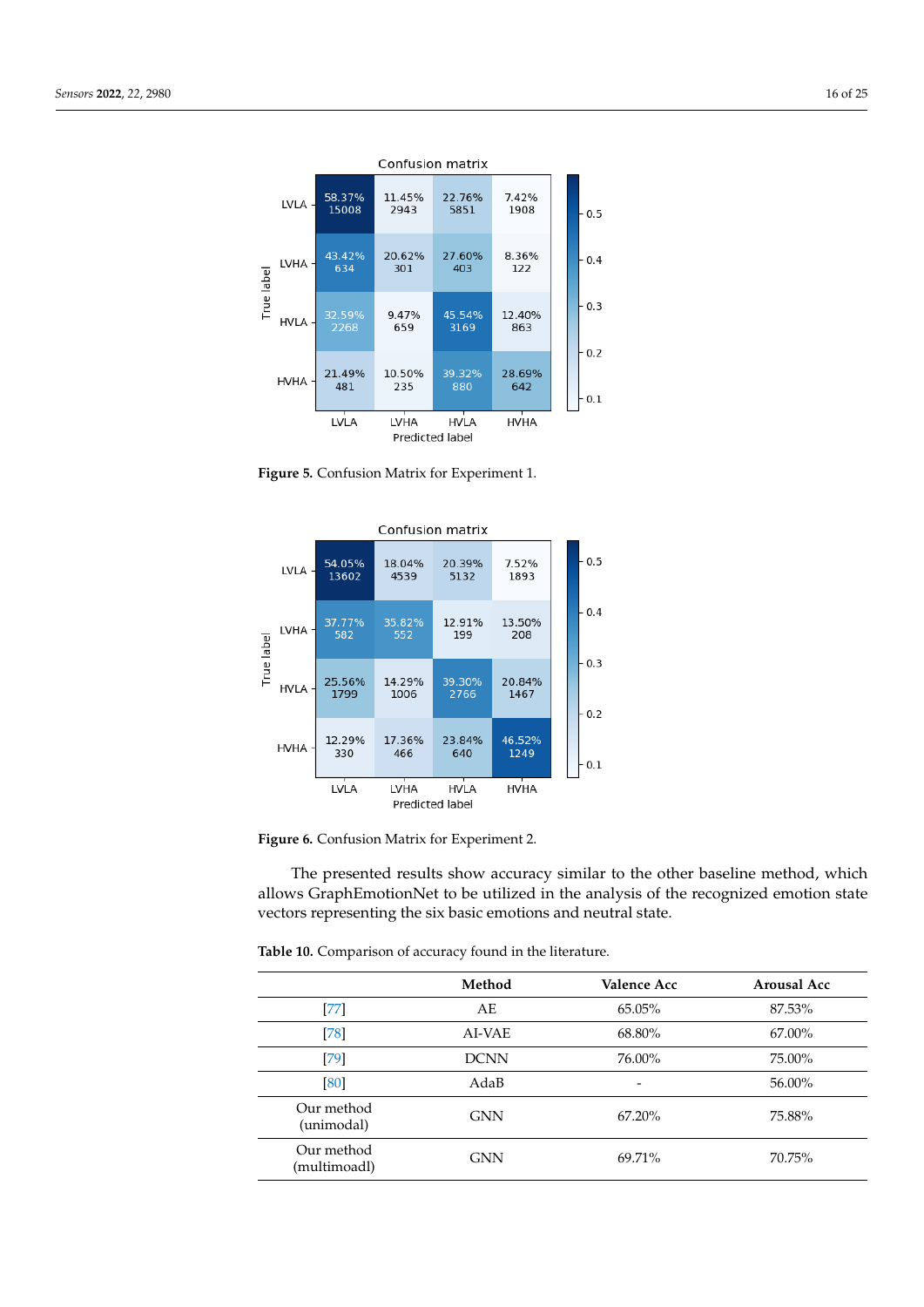<span id="page-15-0"></span>

**Figure 5.** Confusion Matrix for Experiment 1.

<span id="page-15-1"></span>

**Figure 6.** Confusion Matrix for Experiment 2.

The presented results show accuracy similar to the other baseline method, which allows GraphEmotionNet to be utilized in the analysis of the recognized emotion state vectors representing the six basic emotions and neutral state.

<span id="page-15-2"></span>**Table 10.** Comparison of accuracy found in the literature.

|                            | Method      | Valence Acc | Arousal Acc |
|----------------------------|-------------|-------------|-------------|
| [77]                       | AE          | 65.05%      | 87.53%      |
| $[78]$                     | AI-VAE      | 68.80%      | 67.00%      |
| $[79]$                     | <b>DCNN</b> | 76.00%      | 75.00%      |
| [80]                       | AdaB        | -           | 56.00%      |
| Our method<br>(unimodal)   | <b>GNN</b>  | $67.20\%$   | 75.88%      |
| Our method<br>(multimoadl) | <b>GNN</b>  | 69.71%      | 70.75%      |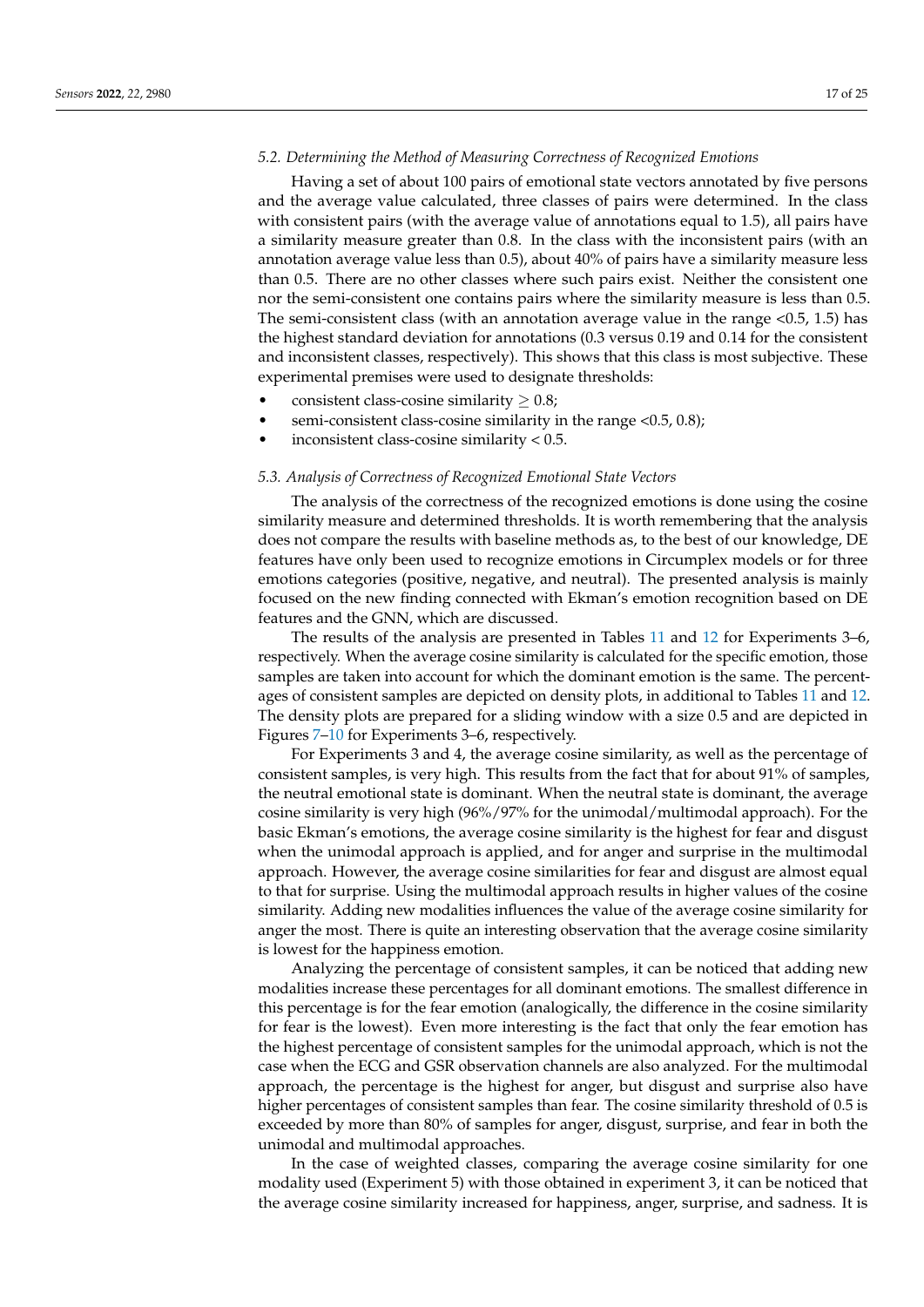#### *5.2. Determining the Method of Measuring Correctness of Recognized Emotions*

Having a set of about 100 pairs of emotional state vectors annotated by five persons and the average value calculated, three classes of pairs were determined. In the class with consistent pairs (with the average value of annotations equal to 1.5), all pairs have a similarity measure greater than 0.8. In the class with the inconsistent pairs (with an annotation average value less than 0.5), about 40% of pairs have a similarity measure less than 0.5. There are no other classes where such pairs exist. Neither the consistent one nor the semi-consistent one contains pairs where the similarity measure is less than 0.5. The semi-consistent class (with an annotation average value in the range  $<$ 0.5, 1.5) has the highest standard deviation for annotations (0.3 versus 0.19 and 0.14 for the consistent and inconsistent classes, respectively). This shows that this class is most subjective. These experimental premises were used to designate thresholds:

- consistent class-cosine similarity  $\geq 0.8$ ;
- semi-consistent class-cosine similarity in the range <0.5, 0.8);
- inconsistent class-cosine similarity  $< 0.5$ .

#### <span id="page-16-0"></span>*5.3. Analysis of Correctness of Recognized Emotional State Vectors*

The analysis of the correctness of the recognized emotions is done using the cosine similarity measure and determined thresholds. It is worth remembering that the analysis does not compare the results with baseline methods as, to the best of our knowledge, DE features have only been used to recognize emotions in Circumplex models or for three emotions categories (positive, negative, and neutral). The presented analysis is mainly focused on the new finding connected with Ekman's emotion recognition based on DE features and the GNN, which are discussed.

The results of the analysis are presented in Tables [11](#page-17-0) and [12](#page-17-1) for Experiments 3–6, respectively. When the average cosine similarity is calculated for the specific emotion, those samples are taken into account for which the dominant emotion is the same. The percentages of consistent samples are depicted on density plots, in additional to Tables [11](#page-17-0) and [12.](#page-17-1) The density plots are prepared for a sliding window with a size 0.5 and are depicted in Figures [7–](#page-18-0)[10](#page-19-1) for Experiments 3–6, respectively.

For Experiments 3 and 4, the average cosine similarity, as well as the percentage of consistent samples, is very high. This results from the fact that for about 91% of samples, the neutral emotional state is dominant. When the neutral state is dominant, the average cosine similarity is very high (96%/97% for the unimodal/multimodal approach). For the basic Ekman's emotions, the average cosine similarity is the highest for fear and disgust when the unimodal approach is applied, and for anger and surprise in the multimodal approach. However, the average cosine similarities for fear and disgust are almost equal to that for surprise. Using the multimodal approach results in higher values of the cosine similarity. Adding new modalities influences the value of the average cosine similarity for anger the most. There is quite an interesting observation that the average cosine similarity is lowest for the happiness emotion.

Analyzing the percentage of consistent samples, it can be noticed that adding new modalities increase these percentages for all dominant emotions. The smallest difference in this percentage is for the fear emotion (analogically, the difference in the cosine similarity for fear is the lowest). Even more interesting is the fact that only the fear emotion has the highest percentage of consistent samples for the unimodal approach, which is not the case when the ECG and GSR observation channels are also analyzed. For the multimodal approach, the percentage is the highest for anger, but disgust and surprise also have higher percentages of consistent samples than fear. The cosine similarity threshold of 0.5 is exceeded by more than 80% of samples for anger, disgust, surprise, and fear in both the unimodal and multimodal approaches.

In the case of weighted classes, comparing the average cosine similarity for one modality used (Experiment 5) with those obtained in experiment 3, it can be noticed that the average cosine similarity increased for happiness, anger, surprise, and sadness. It is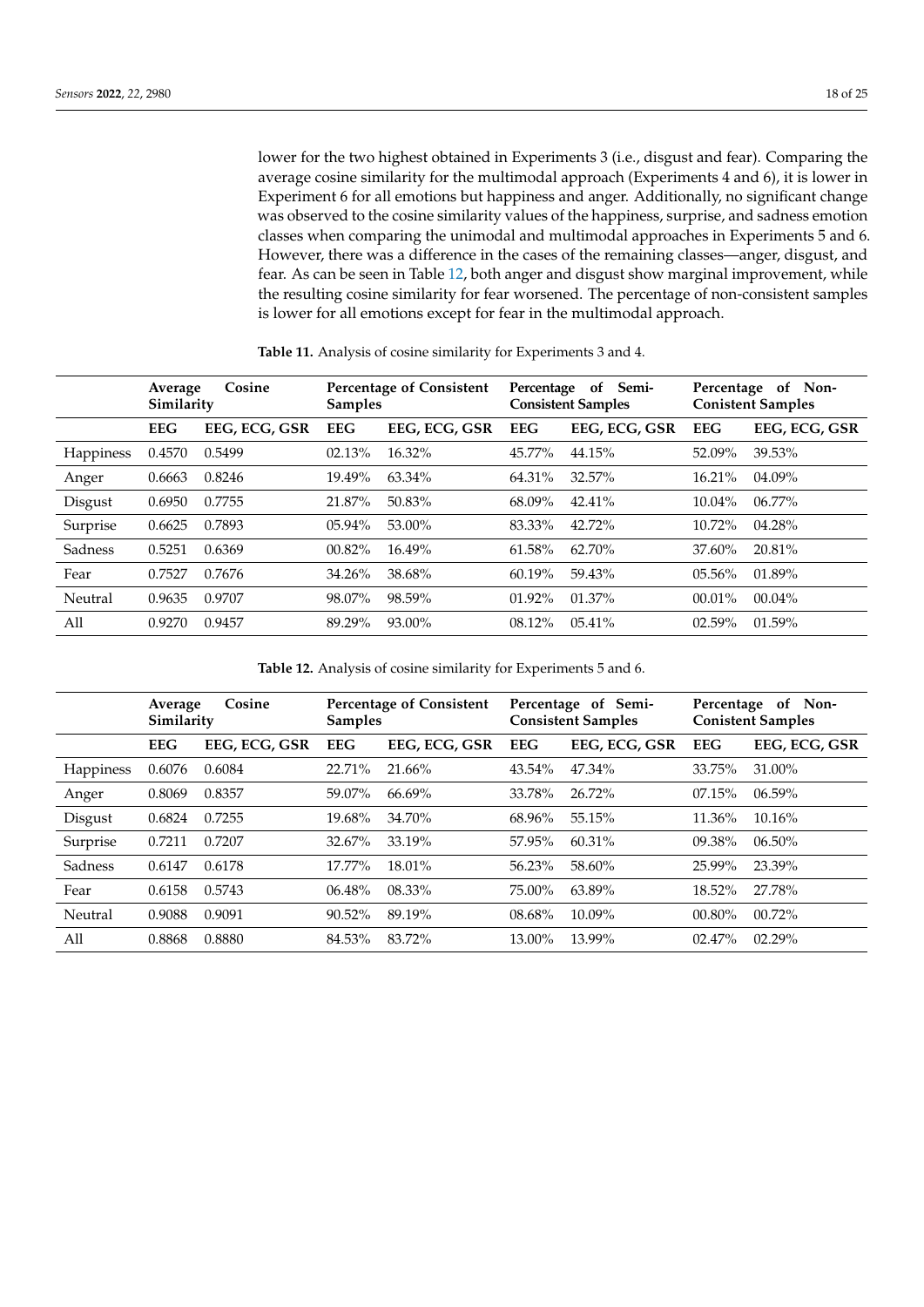lower for the two highest obtained in Experiments 3 (i.e., disgust and fear). Comparing the average cosine similarity for the multimodal approach (Experiments 4 and 6), it is lower in Experiment 6 for all emotions but happiness and anger. Additionally, no significant change was observed to the cosine similarity values of the happiness, surprise, and sadness emotion classes when comparing the unimodal and multimodal approaches in Experiments 5 and 6. However, there was a difference in the cases of the remaining classes—anger, disgust, and fear. As can be seen in Table [12,](#page-17-1) both anger and disgust show marginal improvement, while the resulting cosine similarity for fear worsened. The percentage of non-consistent samples is lower for all emotions except for fear in the multimodal approach.

|                  | Cosine<br>Average<br>Similarity |               | <b>Percentage of Consistent</b><br><b>Samples</b> |               | Semi-<br>Percentage<br>of<br><b>Consistent Samples</b> |               | Percentage of Non-<br><b>Conistent Samples</b> |               |
|------------------|---------------------------------|---------------|---------------------------------------------------|---------------|--------------------------------------------------------|---------------|------------------------------------------------|---------------|
|                  | <b>EEG</b>                      | EEG, ECG, GSR | <b>EEG</b>                                        | EEG, ECG, GSR | <b>EEG</b>                                             | EEG, ECG, GSR | <b>EEG</b>                                     | EEG, ECG, GSR |
| <b>Happiness</b> | 0.4570                          | 0.5499        | 02.13%                                            | 16.32%        | 45.77%                                                 | 44.15%        | 52.09%                                         | 39.53%        |
| Anger            | 0.6663                          | 0.8246        | 19.49%                                            | 63.34%        | 64.31%                                                 | 32.57%        | 16.21%                                         | $04.09\%$     |
| Disgust          | 0.6950                          | 0.7755        | 21.87%                                            | 50.83%        | 68.09%                                                 | 42.41%        | $10.04\%$                                      | $06.77\%$     |
| Surprise         | 0.6625                          | 0.7893        | $05.94\%$                                         | 53.00%        | 83.33%                                                 | 42.72%        | $10.72\%$                                      | $04.28\%$     |
| Sadness          | 0.5251                          | 0.6369        | $00.82\%$                                         | 16.49%        | 61.58%                                                 | 62.70%        | 37.60%                                         | 20.81%        |
| Fear             | 0.7527                          | 0.7676        | 34.26%                                            | 38.68%        | $60.19\%$                                              | 59.43%        | $05.56\%$                                      | 01.89%        |
| Neutral          | 0.9635                          | 0.9707        | 98.07%                                            | 98.59%        | $01.92\%$                                              | $01.37\%$     | $00.01\%$                                      | $00.04\%$     |
| A11              | 0.9270                          | 0.9457        | 89.29%                                            | $93.00\%$     | $08.12\%$                                              | 05.41%        | $02.59\%$                                      | 01.59%        |

<span id="page-17-0"></span>**Table 11.** Analysis of cosine similarity for Experiments 3 and 4.

<span id="page-17-1"></span>**Table 12.** Analysis of cosine similarity for Experiments 5 and 6.

|           | Cosine<br>Average<br>Similarity |               | <b>Percentage of Consistent</b><br><b>Samples</b> |               | Percentage of Semi-<br><b>Consistent Samples</b> |               | Percentage of Non-<br><b>Conistent Samples</b> |               |
|-----------|---------------------------------|---------------|---------------------------------------------------|---------------|--------------------------------------------------|---------------|------------------------------------------------|---------------|
|           | <b>EEG</b>                      | EEG, ECG, GSR | <b>EEG</b>                                        | EEG, ECG, GSR | <b>EEG</b>                                       | EEG, ECG, GSR | <b>EEG</b>                                     | EEG, ECG, GSR |
| Happiness | 0.6076                          | 0.6084        | 22.71%                                            | $21.66\%$     | 43.54%                                           | 47.34%        | 33.75%                                         | 31.00%        |
| Anger     | 0.8069                          | 0.8357        | 59.07%                                            | $66.69\%$     | 33.78%                                           | 26.72%        | 07.15%                                         | 06.59%        |
| Disgust   | 0.6824                          | 0.7255        | 19.68%                                            | 34.70%        | 68.96%                                           | 55.15%        | $11.36\%$                                      | $10.16\%$     |
| Surprise  | 0.7211                          | 0.7207        | 32.67%                                            | 33.19%        | 57.95%                                           | $60.31\%$     | $09.38\%$                                      | 06.50%        |
| Sadness   | 0.6147                          | 0.6178        | 17.77%                                            | 18.01%        | 56.23%                                           | 58.60%        | 25.99%                                         | 23.39%        |
| Fear      | 0.6158                          | 0.5743        | $06.48\%$                                         | 08.33%        | 75.00%                                           | 63.89%        | 18.52%                                         | 27.78%        |
| Neutral   | 0.9088                          | 0.9091        | $90.52\%$                                         | 89.19%        | 08.68%                                           | 10.09%        | 00.80%                                         | 00.72%        |
| All       | 0.8868                          | 0.8880        | 84.53%                                            | 83.72%        | 13.00%                                           | 13.99%        | 02.47%                                         | 02.29%        |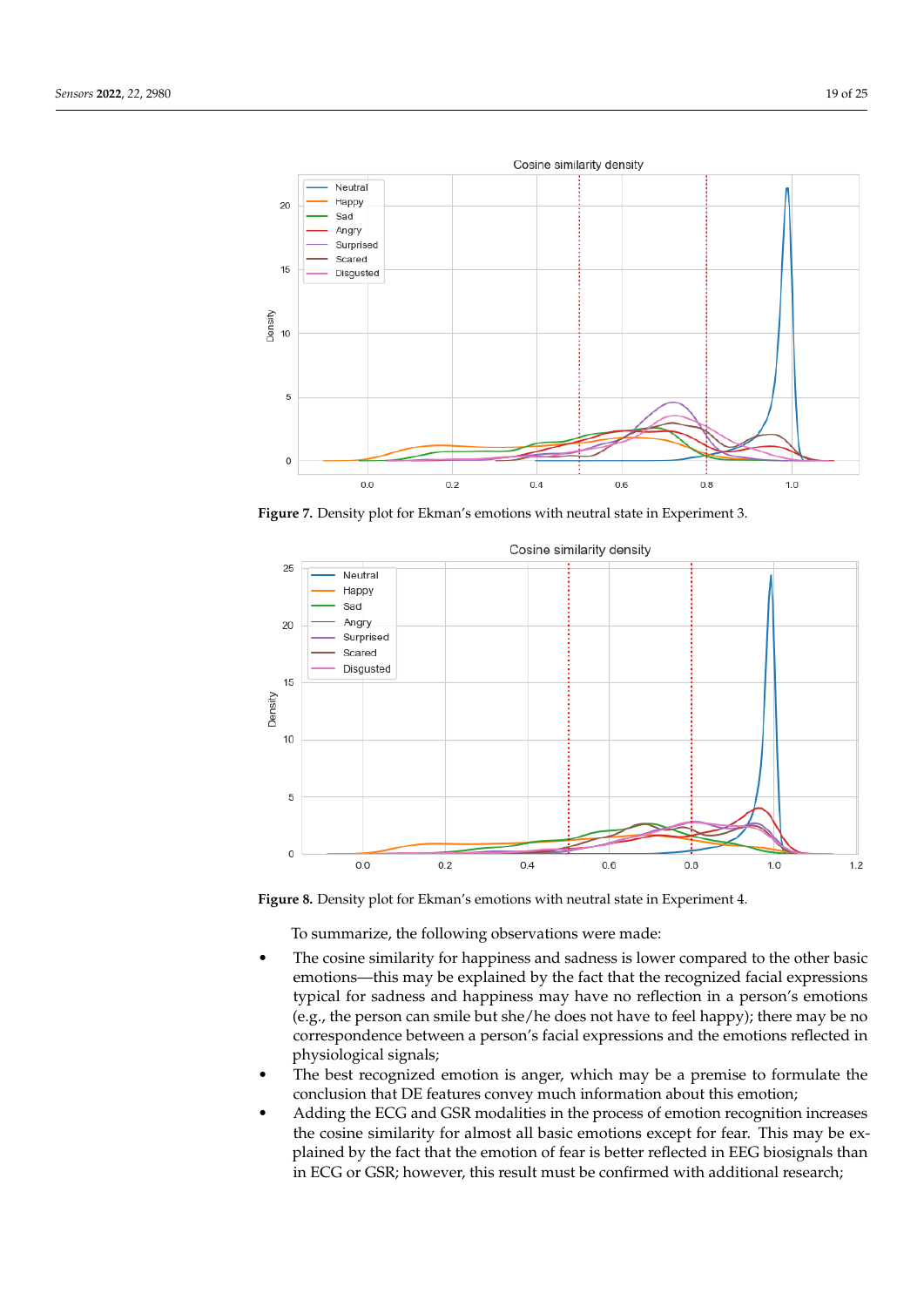<span id="page-18-0"></span>

**Figure 7.** Density plot for Ekman's emotions with neutral state in Experiment 3.



**Figure 8.** Density plot for Ekman's emotions with neutral state in Experiment 4.

To summarize, the following observations were made:

- The cosine similarity for happiness and sadness is lower compared to the other basic emotions—this may be explained by the fact that the recognized facial expressions typical for sadness and happiness may have no reflection in a person's emotions (e.g., the person can smile but she/he does not have to feel happy); there may be no correspondence between a person's facial expressions and the emotions reflected in physiological signals;
- The best recognized emotion is anger, which may be a premise to formulate the conclusion that DE features convey much information about this emotion;
- Adding the ECG and GSR modalities in the process of emotion recognition increases the cosine similarity for almost all basic emotions except for fear. This may be explained by the fact that the emotion of fear is better reflected in EEG biosignals than in ECG or GSR; however, this result must be confirmed with additional research;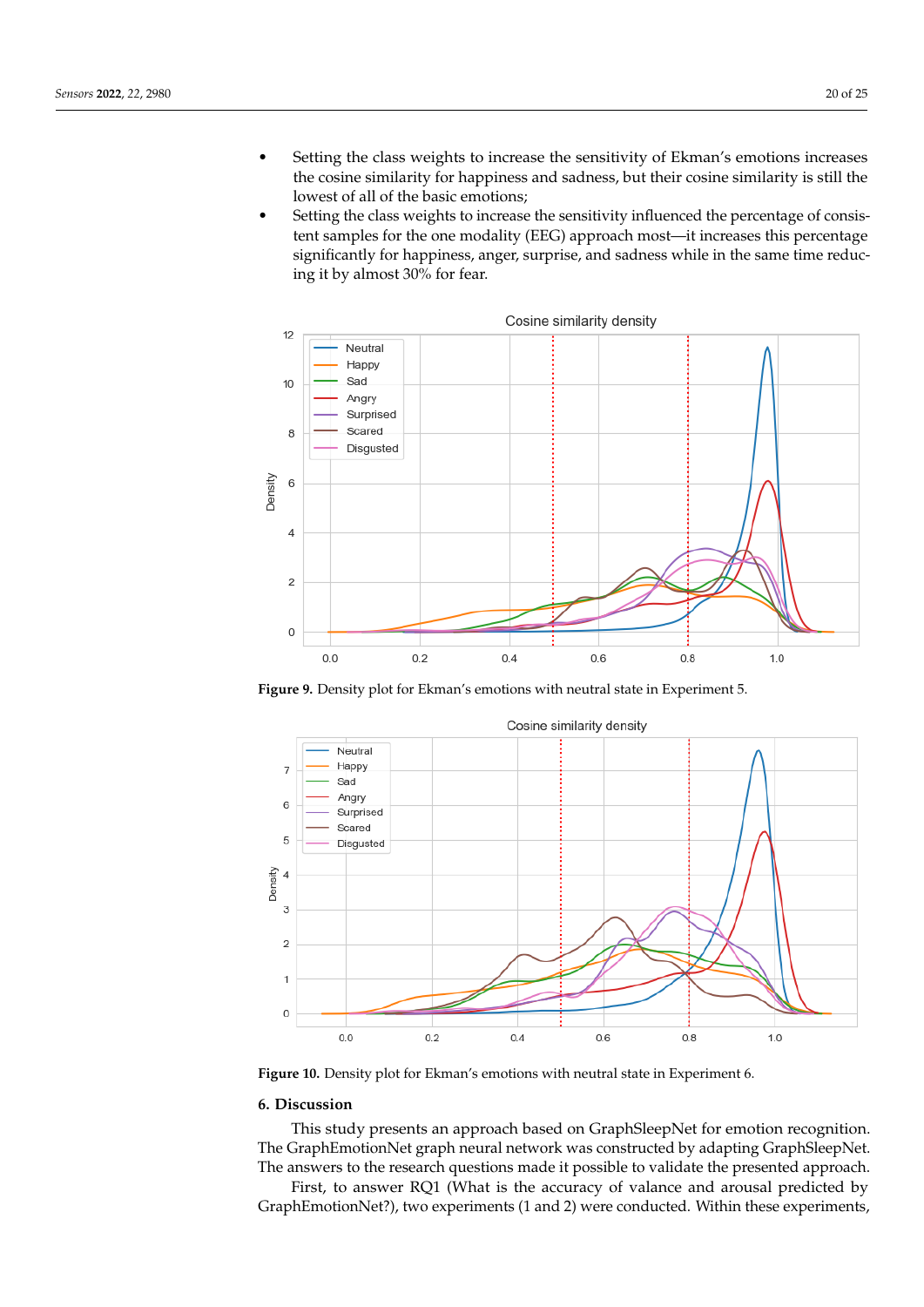- Setting the class weights to increase the sensitivity of Ekman's emotions increases the cosine similarity for happiness and sadness, but their cosine similarity is still the lowest of all of the basic emotions;
- Setting the class weights to increase the sensitivity influenced the percentage of consistent samples for the one modality (EEG) approach most—it increases this percentage significantly for happiness, anger, surprise, and sadness while in the same time reducing it by almost 30% for fear.



**Figure 9.** Density plot for Ekman's emotions with neutral state in Experiment 5.

<span id="page-19-1"></span>

**Figure 10.** Density plot for Ekman's emotions with neutral state in Experiment 6.

## <span id="page-19-0"></span>**6. Discussion**

This study presents an approach based on GraphSleepNet for emotion recognition. The GraphEmotionNet graph neural network was constructed by adapting GraphSleepNet. The answers to the research questions made it possible to validate the presented approach.

First, to answer RQ1 (What is the accuracy of valance and arousal predicted by GraphEmotionNet?), two experiments (1 and 2) were conducted. Within these experiments,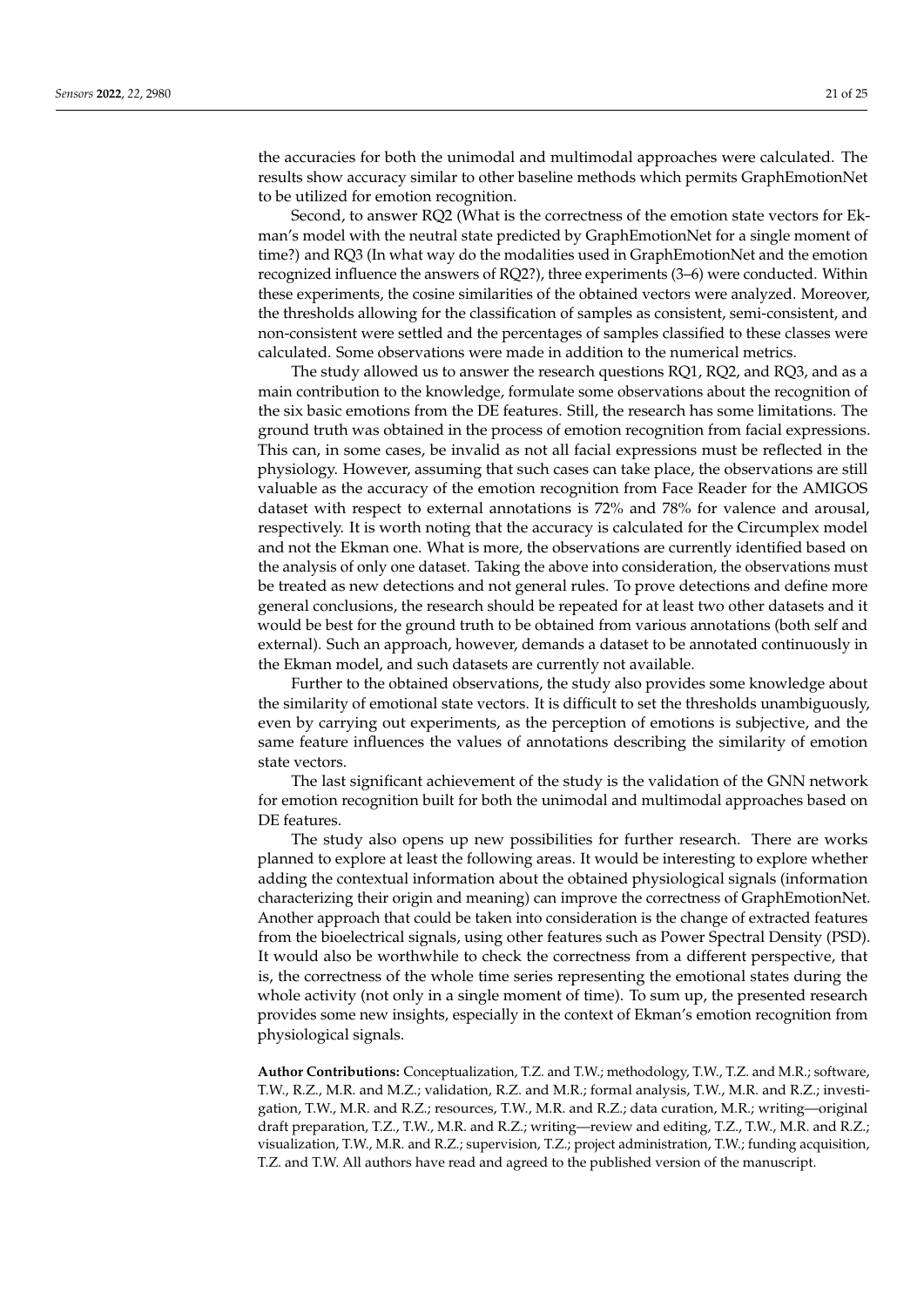the accuracies for both the unimodal and multimodal approaches were calculated. The results show accuracy similar to other baseline methods which permits GraphEmotionNet to be utilized for emotion recognition.

Second, to answer RQ2 (What is the correctness of the emotion state vectors for Ekman's model with the neutral state predicted by GraphEmotionNet for a single moment of time?) and RQ3 (In what way do the modalities used in GraphEmotionNet and the emotion recognized influence the answers of RQ2?), three experiments (3–6) were conducted. Within these experiments, the cosine similarities of the obtained vectors were analyzed. Moreover, the thresholds allowing for the classification of samples as consistent, semi-consistent, and non-consistent were settled and the percentages of samples classified to these classes were calculated. Some observations were made in addition to the numerical metrics.

The study allowed us to answer the research questions RQ1, RQ2, and RQ3, and as a main contribution to the knowledge, formulate some observations about the recognition of the six basic emotions from the DE features. Still, the research has some limitations. The ground truth was obtained in the process of emotion recognition from facial expressions. This can, in some cases, be invalid as not all facial expressions must be reflected in the physiology. However, assuming that such cases can take place, the observations are still valuable as the accuracy of the emotion recognition from Face Reader for the AMIGOS dataset with respect to external annotations is 72% and 78% for valence and arousal, respectively. It is worth noting that the accuracy is calculated for the Circumplex model and not the Ekman one. What is more, the observations are currently identified based on the analysis of only one dataset. Taking the above into consideration, the observations must be treated as new detections and not general rules. To prove detections and define more general conclusions, the research should be repeated for at least two other datasets and it would be best for the ground truth to be obtained from various annotations (both self and external). Such an approach, however, demands a dataset to be annotated continuously in the Ekman model, and such datasets are currently not available.

Further to the obtained observations, the study also provides some knowledge about the similarity of emotional state vectors. It is difficult to set the thresholds unambiguously, even by carrying out experiments, as the perception of emotions is subjective, and the same feature influences the values of annotations describing the similarity of emotion state vectors.

The last significant achievement of the study is the validation of the GNN network for emotion recognition built for both the unimodal and multimodal approaches based on DE features.

The study also opens up new possibilities for further research. There are works planned to explore at least the following areas. It would be interesting to explore whether adding the contextual information about the obtained physiological signals (information characterizing their origin and meaning) can improve the correctness of GraphEmotionNet. Another approach that could be taken into consideration is the change of extracted features from the bioelectrical signals, using other features such as Power Spectral Density (PSD). It would also be worthwhile to check the correctness from a different perspective, that is, the correctness of the whole time series representing the emotional states during the whole activity (not only in a single moment of time). To sum up, the presented research provides some new insights, especially in the context of Ekman's emotion recognition from physiological signals.

**Author Contributions:** Conceptualization, T.Z. and T.W.; methodology, T.W., T.Z. and M.R.; software, T.W., R.Z., M.R. and M.Z.; validation, R.Z. and M.R.; formal analysis, T.W., M.R. and R.Z.; investigation, T.W., M.R. and R.Z.; resources, T.W., M.R. and R.Z.; data curation, M.R.; writing—original draft preparation, T.Z., T.W., M.R. and R.Z.; writing—review and editing, T.Z., T.W., M.R. and R.Z.; visualization, T.W., M.R. and R.Z.; supervision, T.Z.; project administration, T.W.; funding acquisition, T.Z. and T.W. All authors have read and agreed to the published version of the manuscript.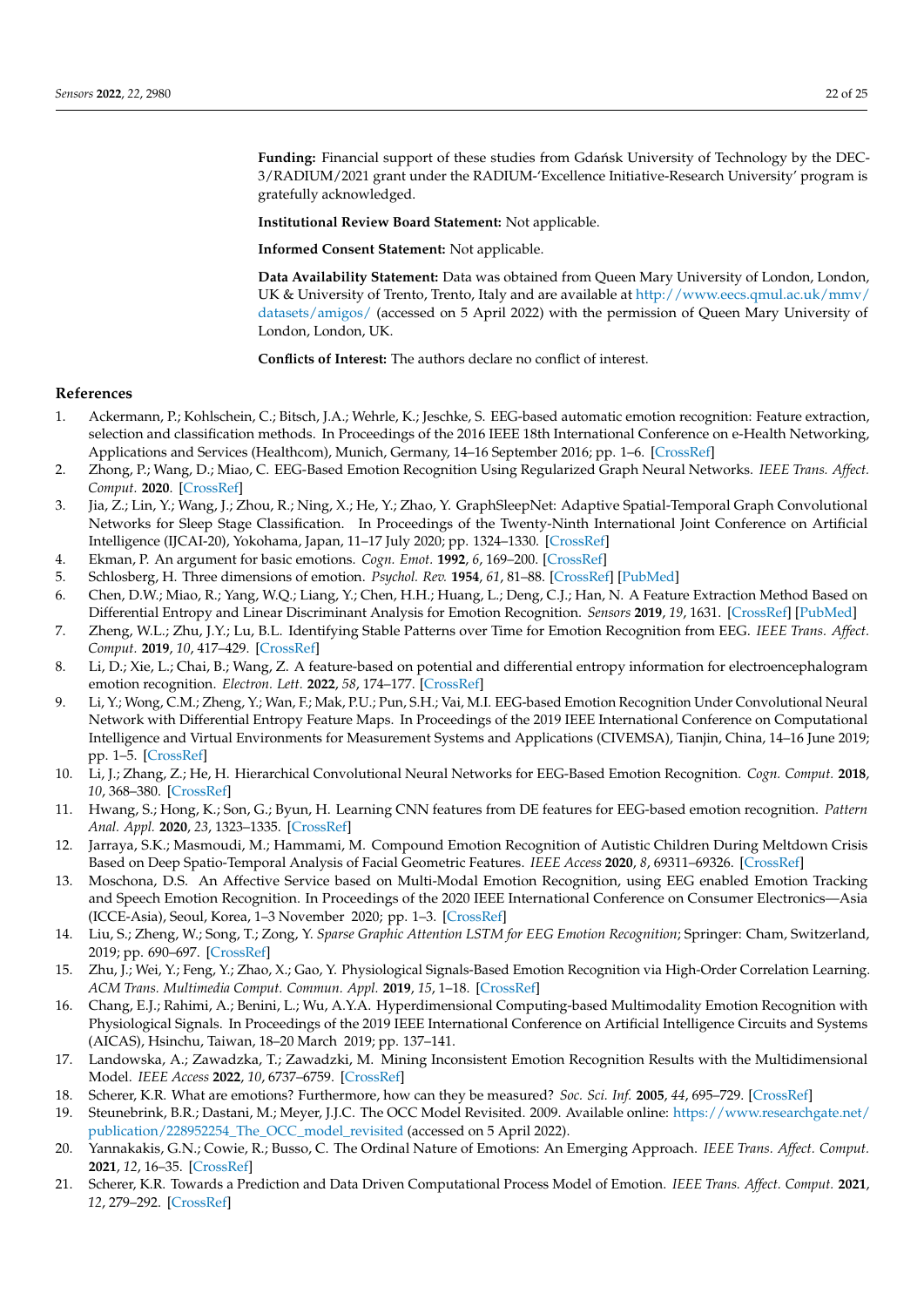Funding: Financial support of these studies from Gdańsk University of Technology by the DEC-3/RADIUM/2021 grant under the RADIUM-'Excellence Initiative-Research University' program is gratefully acknowledged.

**Institutional Review Board Statement:** Not applicable.

**Informed Consent Statement:** Not applicable.

**Data Availability Statement:** Data was obtained from Queen Mary University of London, London, UK & University of Trento, Trento, Italy and are available at [http://www.eecs.qmul.ac.uk/mmv/](http://www.eecs.qmul.ac.uk/mmv/datasets/amigos/) [datasets/amigos/](http://www.eecs.qmul.ac.uk/mmv/datasets/amigos/) (accessed on 5 April 2022) with the permission of Queen Mary University of London, London, UK.

**Conflicts of Interest:** The authors declare no conflict of interest.

#### **References**

- <span id="page-21-0"></span>1. Ackermann, P.; Kohlschein, C.; Bitsch, J.A.; Wehrle, K.; Jeschke, S. EEG-based automatic emotion recognition: Feature extraction, selection and classification methods. In Proceedings of the 2016 IEEE 18th International Conference on e-Health Networking, Applications and Services (Healthcom), Munich, Germany, 14–16 September 2016; pp. 1–6. [\[CrossRef\]](http://doi.org/10.1109/HealthCom.2016.7749447)
- <span id="page-21-1"></span>2. Zhong, P.; Wang, D.; Miao, C. EEG-Based Emotion Recognition Using Regularized Graph Neural Networks. *IEEE Trans. Affect. Comput.* **2020**. [\[CrossRef\]](http://dx.doi.org/10.1109/TAFFC.2020.2994159)
- <span id="page-21-2"></span>3. Jia, Z.; Lin, Y.; Wang, J.; Zhou, R.; Ning, X.; He, Y.; Zhao, Y. GraphSleepNet: Adaptive Spatial-Temporal Graph Convolutional Networks for Sleep Stage Classification. In Proceedings of the Twenty-Ninth International Joint Conference on Artificial Intelligence (IJCAI-20), Yokohama, Japan, 11–17 July 2020; pp. 1324–1330. [\[CrossRef\]](http://dx.doi.org/10.24963/ijcai.2020/184)
- <span id="page-21-3"></span>4. Ekman, P. An argument for basic emotions. *Cogn. Emot.* **1992**, *6*, 169–200. [\[CrossRef\]](http://dx.doi.org/10.1080/02699939208411068)
- <span id="page-21-4"></span>5. Schlosberg, H. Three dimensions of emotion. *Psychol. Rev.* **1954**, *61*, 81–88. [\[CrossRef\]](http://dx.doi.org/10.1037/h0054570) [\[PubMed\]](http://www.ncbi.nlm.nih.gov/pubmed/13155714)
- <span id="page-21-5"></span>6. Chen, D.W.; Miao, R.; Yang, W.Q.; Liang, Y.; Chen, H.H.; Huang, L.; Deng, C.J.; Han, N. A Feature Extraction Method Based on Differential Entropy and Linear Discriminant Analysis for Emotion Recognition. *Sensors* **2019**, *19*, 1631. [\[CrossRef\]](http://dx.doi.org/10.3390/s19071631) [\[PubMed\]](http://www.ncbi.nlm.nih.gov/pubmed/30959760)
- <span id="page-21-6"></span>7. Zheng, W.L.; Zhu, J.Y.; Lu, B.L. Identifying Stable Patterns over Time for Emotion Recognition from EEG. *IEEE Trans. Affect. Comput.* **2019**, *10*, 417–429. [\[CrossRef\]](http://dx.doi.org/10.1109/TAFFC.2017.2712143)
- 8. Li, D.; Xie, L.; Chai, B.; Wang, Z. A feature-based on potential and differential entropy information for electroencephalogram emotion recognition. *Electron. Lett.* **2022**, *58*, 174–177. [\[CrossRef\]](http://dx.doi.org/10.1049/ell2.12388)
- 9. Li, Y.; Wong, C.M.; Zheng, Y.; Wan, F.; Mak, P.U.; Pun, S.H.; Vai, M.I. EEG-based Emotion Recognition Under Convolutional Neural Network with Differential Entropy Feature Maps. In Proceedings of the 2019 IEEE International Conference on Computational Intelligence and Virtual Environments for Measurement Systems and Applications (CIVEMSA), Tianjin, China, 14–16 June 2019; pp. 1–5. [\[CrossRef\]](http://dx.doi.org/10.1109/CIVEMSA45640.2019.9071612)
- 10. Li, J.; Zhang, Z.; He, H. Hierarchical Convolutional Neural Networks for EEG-Based Emotion Recognition. *Cogn. Comput.* **2018**, *10*, 368–380. [\[CrossRef\]](http://dx.doi.org/10.1007/s12559-017-9533-x)
- <span id="page-21-7"></span>11. Hwang, S.; Hong, K.; Son, G.; Byun, H. Learning CNN features from DE features for EEG-based emotion recognition. *Pattern Anal. Appl.* **2020**, *23*, 1323–1335. [\[CrossRef\]](http://dx.doi.org/10.1007/s10044-019-00860-w)
- <span id="page-21-8"></span>12. Jarraya, S.K.; Masmoudi, M.; Hammami, M. Compound Emotion Recognition of Autistic Children During Meltdown Crisis Based on Deep Spatio-Temporal Analysis of Facial Geometric Features. *IEEE Access* **2020**, *8*, 69311–69326. [\[CrossRef\]](http://dx.doi.org/10.1109/ACCESS.2020.2986654)
- <span id="page-21-9"></span>13. Moschona, D.S. An Affective Service based on Multi-Modal Emotion Recognition, using EEG enabled Emotion Tracking and Speech Emotion Recognition. In Proceedings of the 2020 IEEE International Conference on Consumer Electronics—Asia (ICCE-Asia), Seoul, Korea, 1–3 November 2020; pp. 1–3. [\[CrossRef\]](http://dx.doi.org/10.1109/ICCE-Asia49877.2020.9277291)
- <span id="page-21-10"></span>14. Liu, S.; Zheng, W.; Song, T.; Zong, Y. *Sparse Graphic Attention LSTM for EEG Emotion Recognition*; Springer: Cham, Switzerland, 2019; pp. 690–697. [\[CrossRef\]](http://dx.doi.org/10.1007/978-3-030-36808-1_75)
- <span id="page-21-17"></span>15. Zhu, J.; Wei, Y.; Feng, Y.; Zhao, X.; Gao, Y. Physiological Signals-Based Emotion Recognition via High-Order Correlation Learning. *ACM Trans. Multimedia Comput. Commun. Appl.* **2019**, *15*, 1–18. [\[CrossRef\]](http://dx.doi.org/10.1145/3332374)
- <span id="page-21-11"></span>16. Chang, E.J.; Rahimi, A.; Benini, L.; Wu, A.Y.A. Hyperdimensional Computing-based Multimodality Emotion Recognition with Physiological Signals. In Proceedings of the 2019 IEEE International Conference on Artificial Intelligence Circuits and Systems (AICAS), Hsinchu, Taiwan, 18–20 March 2019; pp. 137–141.
- <span id="page-21-12"></span>17. Landowska, A.; Zawadzka, T.; Zawadzki, M. Mining Inconsistent Emotion Recognition Results with the Multidimensional Model. *IEEE Access* **2022**, *10*, 6737–6759. [\[CrossRef\]](http://dx.doi.org/10.1109/ACCESS.2021.3139078)
- <span id="page-21-13"></span>18. Scherer, K.R. What are emotions? Furthermore, how can they be measured? *Soc. Sci. Inf.* **2005**, *44*, 695–729. [\[CrossRef\]](http://dx.doi.org/10.1177/0539018405058216)
- <span id="page-21-14"></span>19. Steunebrink, B.R.; Dastani, M.; Meyer, J.J.C. The OCC Model Revisited. 2009. Available online: [https://www.researchgate.net/](https://www.researchgate.net/publication/228952254_The_OCC_model_revisited) [publication/228952254\\_The\\_OCC\\_model\\_revisited](https://www.researchgate.net/publication/228952254_The_OCC_model_revisited) (accessed on 5 April 2022).
- <span id="page-21-15"></span>20. Yannakakis, G.N.; Cowie, R.; Busso, C. The Ordinal Nature of Emotions: An Emerging Approach. *IEEE Trans. Affect. Comput.* **2021**, *12*, 16–35. [\[CrossRef\]](http://dx.doi.org/10.1109/TAFFC.2018.2879512)
- <span id="page-21-16"></span>21. Scherer, K.R. Towards a Prediction and Data Driven Computational Process Model of Emotion. *IEEE Trans. Affect. Comput.* **2021**, *12*, 279–292. [\[CrossRef\]](http://dx.doi.org/10.1109/TAFFC.2019.2905209)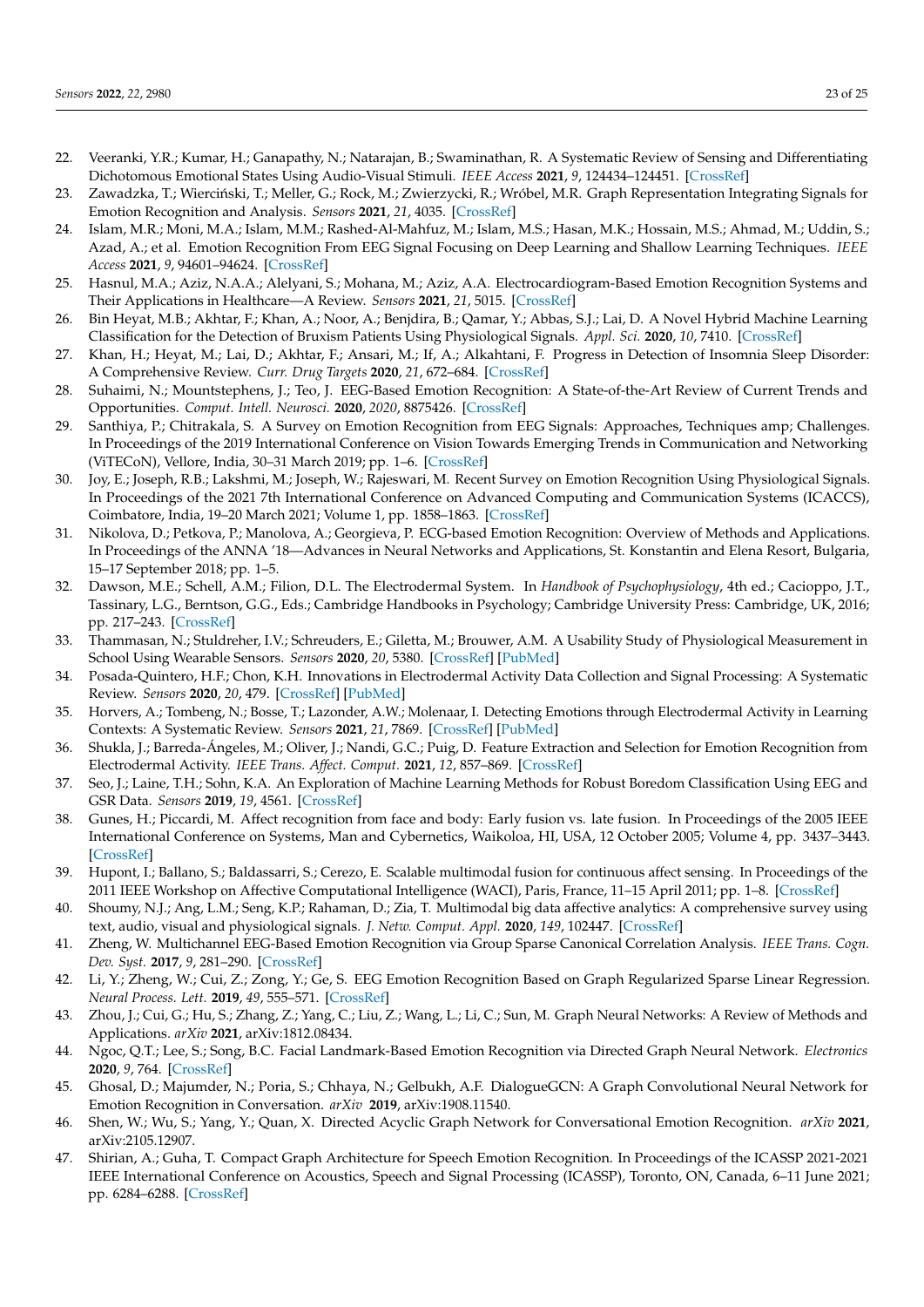- <span id="page-22-0"></span>22. Veeranki, Y.R.; Kumar, H.; Ganapathy, N.; Natarajan, B.; Swaminathan, R. A Systematic Review of Sensing and Differentiating Dichotomous Emotional States Using Audio-Visual Stimuli. *IEEE Access* **2021**, *9*, 124434–124451. [\[CrossRef\]](http://dx.doi.org/10.1109/ACCESS.2021.3110773)
- <span id="page-22-1"></span>23. Zawadzka, T.; Wierciński, T.; Meller, G.; Rock, M.; Zwierzycki, R.; Wróbel, M.R. Graph Representation Integrating Signals for Emotion Recognition and Analysis. *Sensors* **2021**, *21*, 4035. [\[CrossRef\]](http://dx.doi.org/10.3390/s21124035)
- <span id="page-22-2"></span>24. Islam, M.R.; Moni, M.A.; Islam, M.M.; Rashed-Al-Mahfuz, M.; Islam, M.S.; Hasan, M.K.; Hossain, M.S.; Ahmad, M.; Uddin, S.; Azad, A.; et al. Emotion Recognition From EEG Signal Focusing on Deep Learning and Shallow Learning Techniques. *IEEE Access* **2021**, *9*, 94601–94624. [\[CrossRef\]](http://dx.doi.org/10.1109/ACCESS.2021.3091487)
- <span id="page-22-3"></span>25. Hasnul, M.A.; Aziz, N.A.A.; Alelyani, S.; Mohana, M.; Aziz, A.A. Electrocardiogram-Based Emotion Recognition Systems and Their Applications in Healthcare—A Review. *Sensors* **2021**, *21*, 5015. [\[CrossRef\]](http://dx.doi.org/10.3390/s21155015)
- <span id="page-22-4"></span>26. Bin Heyat, M.B.; Akhtar, F.; Khan, A.; Noor, A.; Benjdira, B.; Qamar, Y.; Abbas, S.J.; Lai, D. A Novel Hybrid Machine Learning Classification for the Detection of Bruxism Patients Using Physiological Signals. *Appl. Sci.* **2020**, *10*, 7410. [\[CrossRef\]](http://dx.doi.org/10.3390/app10217410)
- <span id="page-22-5"></span>27. Khan, H.; Heyat, M.; Lai, D.; Akhtar, F.; Ansari, M.; If, A.; Alkahtani, F. Progress in Detection of Insomnia Sleep Disorder: A Comprehensive Review. *Curr. Drug Targets* **2020**, *21*, 672–684. [\[CrossRef\]](http://dx.doi.org/10.2174/1389450121666201027125828)
- <span id="page-22-6"></span>28. Suhaimi, N.; Mountstephens, J.; Teo, J. EEG-Based Emotion Recognition: A State-of-the-Art Review of Current Trends and Opportunities. *Comput. Intell. Neurosci.* **2020**, *2020*, 8875426. [\[CrossRef\]](http://dx.doi.org/10.1155/2020/8875426)
- <span id="page-22-7"></span>29. Santhiya, P.; Chitrakala, S. A Survey on Emotion Recognition from EEG Signals: Approaches, Techniques amp; Challenges. In Proceedings of the 2019 International Conference on Vision Towards Emerging Trends in Communication and Networking (ViTECoN), Vellore, India, 30–31 March 2019; pp. 1–6. [\[CrossRef\]](http://dx.doi.org/10.1109/ViTECoN.2019.8899671)
- <span id="page-22-8"></span>30. Joy, E.; Joseph, R.B.; Lakshmi, M.; Joseph, W.; Rajeswari, M. Recent Survey on Emotion Recognition Using Physiological Signals. In Proceedings of the 2021 7th International Conference on Advanced Computing and Communication Systems (ICACCS), Coimbatore, India, 19–20 March 2021; Volume 1, pp. 1858–1863. [\[CrossRef\]](http://dx.doi.org/10.1109/ICACCS51430.2021.9441999)
- <span id="page-22-9"></span>31. Nikolova, D.; Petkova, P.; Manolova, A.; Georgieva, P. ECG-based Emotion Recognition: Overview of Methods and Applications. In Proceedings of the ANNA '18—Advances in Neural Networks and Applications, St. Konstantin and Elena Resort, Bulgaria, 15–17 September 2018; pp. 1–5.
- <span id="page-22-10"></span>32. Dawson, M.E.; Schell, A.M.; Filion, D.L. The Electrodermal System. In *Handbook of Psychophysiology*, 4th ed.; Cacioppo, J.T., Tassinary, L.G., Berntson, G.G., Eds.; Cambridge Handbooks in Psychology; Cambridge University Press: Cambridge, UK, 2016; pp. 217–243. [\[CrossRef\]](http://dx.doi.org/10.1017/9781107415782.010)
- <span id="page-22-11"></span>33. Thammasan, N.; Stuldreher, I.V.; Schreuders, E.; Giletta, M.; Brouwer, A.M. A Usability Study of Physiological Measurement in School Using Wearable Sensors. *Sensors* **2020**, *20*, 5380. [\[CrossRef\]](http://dx.doi.org/10.3390/s20185380) [\[PubMed\]](http://www.ncbi.nlm.nih.gov/pubmed/32962191)
- <span id="page-22-12"></span>34. Posada-Quintero, H.F.; Chon, K.H. Innovations in Electrodermal Activity Data Collection and Signal Processing: A Systematic Review. *Sensors* **2020**, *20*, 479. [\[CrossRef\]](http://dx.doi.org/10.3390/s20020479) [\[PubMed\]](http://www.ncbi.nlm.nih.gov/pubmed/31952141)
- <span id="page-22-13"></span>35. Horvers, A.; Tombeng, N.; Bosse, T.; Lazonder, A.W.; Molenaar, I. Detecting Emotions through Electrodermal Activity in Learning Contexts: A Systematic Review. *Sensors* **2021**, *21*, 7869. [\[CrossRef\]](http://dx.doi.org/10.3390/s21237869) [\[PubMed\]](http://www.ncbi.nlm.nih.gov/pubmed/34883870)
- 36. Shukla, J.; Barreda-Ángeles, M.; Oliver, J.; Nandi, G.C.; Puig, D. Feature Extraction and Selection for Emotion Recognition from Electrodermal Activity. *IEEE Trans. Affect. Comput.* **2021**, *12*, 857–869. [\[CrossRef\]](http://dx.doi.org/10.1109/TAFFC.2019.2901673)
- <span id="page-22-14"></span>37. Seo, J.; Laine, T.H.; Sohn, K.A. An Exploration of Machine Learning Methods for Robust Boredom Classification Using EEG and GSR Data. *Sensors* **2019**, *19*, 4561. [\[CrossRef\]](http://dx.doi.org/10.3390/s19204561)
- <span id="page-22-15"></span>38. Gunes, H.; Piccardi, M. Affect recognition from face and body: Early fusion vs. late fusion. In Proceedings of the 2005 IEEE International Conference on Systems, Man and Cybernetics, Waikoloa, HI, USA, 12 October 2005; Volume 4, pp. 3437–3443. [\[CrossRef\]](http://dx.doi.org/10.1109/ICSMC.2005.1571679)
- <span id="page-22-16"></span>39. Hupont, I.; Ballano, S.; Baldassarri, S.; Cerezo, E. Scalable multimodal fusion for continuous affect sensing. In Proceedings of the 2011 IEEE Workshop on Affective Computational Intelligence (WACI), Paris, France, 11–15 April 2011; pp. 1–8. [\[CrossRef\]](http://dx.doi.org/10.1109/WACI.2011.5953150)
- <span id="page-22-17"></span>40. Shoumy, N.J.; Ang, L.M.; Seng, K.P.; Rahaman, D.; Zia, T. Multimodal big data affective analytics: A comprehensive survey using text, audio, visual and physiological signals. *J. Netw. Comput. Appl.* **2020**, *149*, 102447. [\[CrossRef\]](http://dx.doi.org/10.1016/j.jnca.2019.102447)
- <span id="page-22-18"></span>41. Zheng, W. Multichannel EEG-Based Emotion Recognition via Group Sparse Canonical Correlation Analysis. *IEEE Trans. Cogn. Dev. Syst.* **2017**, *9*, 281–290. [\[CrossRef\]](http://dx.doi.org/10.1109/TCDS.2016.2587290)
- <span id="page-22-19"></span>42. Li, Y.; Zheng, W.; Cui, Z.; Zong, Y.; Ge, S. EEG Emotion Recognition Based on Graph Regularized Sparse Linear Regression. *Neural Process. Lett.* **2019**, *49*, 555–571. [\[CrossRef\]](http://dx.doi.org/10.1007/s11063-018-9829-1)
- <span id="page-22-20"></span>43. Zhou, J.; Cui, G.; Hu, S.; Zhang, Z.; Yang, C.; Liu, Z.; Wang, L.; Li, C.; Sun, M. Graph Neural Networks: A Review of Methods and Applications. *arXiv* **2021**, arXiv:1812.08434.
- <span id="page-22-21"></span>44. Ngoc, Q.T.; Lee, S.; Song, B.C. Facial Landmark-Based Emotion Recognition via Directed Graph Neural Network. *Electronics* **2020**, *9*, 764. [\[CrossRef\]](http://dx.doi.org/10.3390/electronics9050764)
- <span id="page-22-22"></span>45. Ghosal, D.; Majumder, N.; Poria, S.; Chhaya, N.; Gelbukh, A.F. DialogueGCN: A Graph Convolutional Neural Network for Emotion Recognition in Conversation. *arXiv* **2019**, arXiv:1908.11540.
- <span id="page-22-23"></span>46. Shen, W.; Wu, S.; Yang, Y.; Quan, X. Directed Acyclic Graph Network for Conversational Emotion Recognition. *arXiv* **2021**, arXiv:2105.12907.
- <span id="page-22-24"></span>47. Shirian, A.; Guha, T. Compact Graph Architecture for Speech Emotion Recognition. In Proceedings of the ICASSP 2021-2021 IEEE International Conference on Acoustics, Speech and Signal Processing (ICASSP), Toronto, ON, Canada, 6–11 June 2021; pp. 6284–6288. [\[CrossRef\]](http://dx.doi.org/10.1109/ICASSP39728.2021.9413876)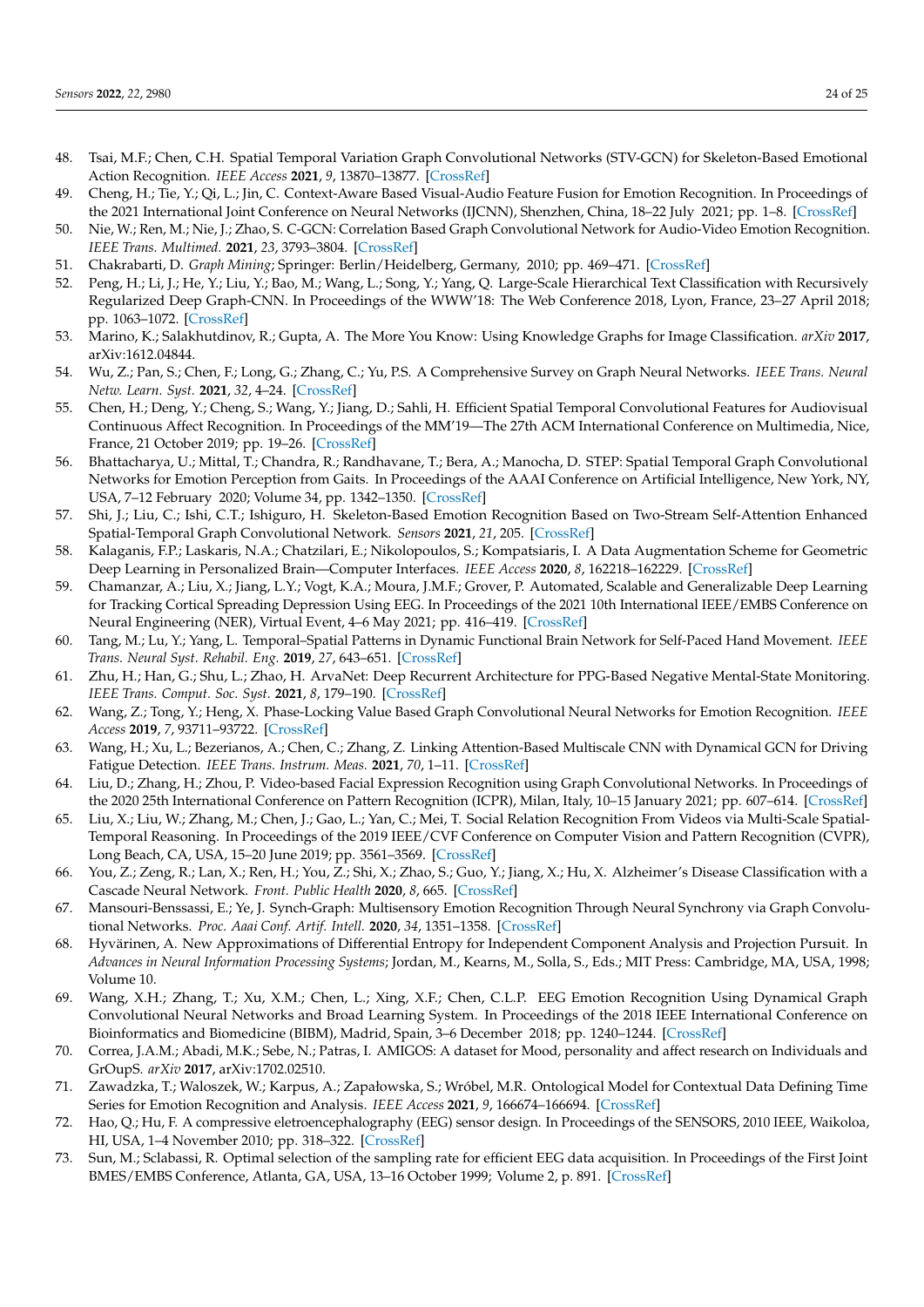- <span id="page-23-0"></span>48. Tsai, M.F.; Chen, C.H. Spatial Temporal Variation Graph Convolutional Networks (STV-GCN) for Skeleton-Based Emotional Action Recognition. *IEEE Access* **2021**, *9*, 13870–13877. [\[CrossRef\]](http://dx.doi.org/10.1109/ACCESS.2021.3052246)
- <span id="page-23-1"></span>49. Cheng, H.; Tie, Y.; Qi, L.; Jin, C. Context-Aware Based Visual-Audio Feature Fusion for Emotion Recognition. In Proceedings of the 2021 International Joint Conference on Neural Networks (IJCNN), Shenzhen, China, 18–22 July 2021; pp. 1–8. [\[CrossRef\]](http://dx.doi.org/10.1109/IJCNN52387.2021.9533473)
- <span id="page-23-2"></span>50. Nie, W.; Ren, M.; Nie, J.; Zhao, S. C-GCN: Correlation Based Graph Convolutional Network for Audio-Video Emotion Recognition. *IEEE Trans. Multimed.* **2021**, *23*, 3793–3804. [\[CrossRef\]](http://dx.doi.org/10.1109/TMM.2020.3032037)
- <span id="page-23-3"></span>51. Chakrabarti, D. *Graph Mining*; Springer: Berlin/Heidelberg, Germany, 2010; pp. 469–471. [\[CrossRef\]](http://dx.doi.org/10.1007/978-0-387-30164-8_350)
- <span id="page-23-4"></span>52. Peng, H.; Li, J.; He, Y.; Liu, Y.; Bao, M.; Wang, L.; Song, Y.; Yang, Q. Large-Scale Hierarchical Text Classification with Recursively Regularized Deep Graph-CNN. In Proceedings of the WWW'18: The Web Conference 2018, Lyon, France, 23–27 April 2018; pp. 1063–1072. [\[CrossRef\]](http://dx.doi.org/10.1145/3178876.3186005)
- <span id="page-23-5"></span>53. Marino, K.; Salakhutdinov, R.; Gupta, A. The More You Know: Using Knowledge Graphs for Image Classification. *arXiv* **2017**, arXiv:1612.04844.
- <span id="page-23-6"></span>54. Wu, Z.; Pan, S.; Chen, F.; Long, G.; Zhang, C.; Yu, P.S. A Comprehensive Survey on Graph Neural Networks. *IEEE Trans. Neural Netw. Learn. Syst.* **2021**, *32*, 4–24. [\[CrossRef\]](http://dx.doi.org/10.1109/TNNLS.2020.2978386)
- <span id="page-23-7"></span>55. Chen, H.; Deng, Y.; Cheng, S.; Wang, Y.; Jiang, D.; Sahli, H. Efficient Spatial Temporal Convolutional Features for Audiovisual Continuous Affect Recognition. In Proceedings of the MM'19—The 27th ACM International Conference on Multimedia, Nice, France, 21 October 2019; pp. 19–26. [\[CrossRef\]](http://dx.doi.org/10.1145/3347320.3357690)
- 56. Bhattacharya, U.; Mittal, T.; Chandra, R.; Randhavane, T.; Bera, A.; Manocha, D. STEP: Spatial Temporal Graph Convolutional Networks for Emotion Perception from Gaits. In Proceedings of the AAAI Conference on Artificial Intelligence, New York, NY, USA, 7–12 February 2020; Volume 34, pp. 1342–1350. [\[CrossRef\]](http://dx.doi.org/10.1609/aaai.v34i02.5490)
- <span id="page-23-8"></span>57. Shi, J.; Liu, C.; Ishi, C.T.; Ishiguro, H. Skeleton-Based Emotion Recognition Based on Two-Stream Self-Attention Enhanced Spatial-Temporal Graph Convolutional Network. *Sensors* **2021**, *21*, 205. [\[CrossRef\]](http://dx.doi.org/10.3390/s21010205)
- <span id="page-23-9"></span>58. Kalaganis, F.P.; Laskaris, N.A.; Chatzilari, E.; Nikolopoulos, S.; Kompatsiaris, I. A Data Augmentation Scheme for Geometric Deep Learning in Personalized Brain—Computer Interfaces. *IEEE Access* **2020**, *8*, 162218–162229. [\[CrossRef\]](http://dx.doi.org/10.1109/ACCESS.2020.3021580)
- 59. Chamanzar, A.; Liu, X.; Jiang, L.Y.; Vogt, K.A.; Moura, J.M.F.; Grover, P. Automated, Scalable and Generalizable Deep Learning for Tracking Cortical Spreading Depression Using EEG. In Proceedings of the 2021 10th International IEEE/EMBS Conference on Neural Engineering (NER), Virtual Event, 4–6 May 2021; pp. 416–419. [\[CrossRef\]](http://dx.doi.org/10.1109/NER49283.2021.9441333)
- <span id="page-23-10"></span>60. Tang, M.; Lu, Y.; Yang, L. Temporal–Spatial Patterns in Dynamic Functional Brain Network for Self-Paced Hand Movement. *IEEE Trans. Neural Syst. Rehabil. Eng.* **2019**, *27*, 643–651. [\[CrossRef\]](http://dx.doi.org/10.1109/TNSRE.2019.2901888)
- <span id="page-23-11"></span>61. Zhu, H.; Han, G.; Shu, L.; Zhao, H. ArvaNet: Deep Recurrent Architecture for PPG-Based Negative Mental-State Monitoring. *IEEE Trans. Comput. Soc. Syst.* **2021**, *8*, 179–190. [\[CrossRef\]](http://dx.doi.org/10.1109/TCSS.2020.2977715)
- <span id="page-23-12"></span>62. Wang, Z.; Tong, Y.; Heng, X. Phase-Locking Value Based Graph Convolutional Neural Networks for Emotion Recognition. *IEEE Access* **2019**, *7*, 93711–93722. [\[CrossRef\]](http://dx.doi.org/10.1109/ACCESS.2019.2927768)
- <span id="page-23-13"></span>63. Wang, H.; Xu, L.; Bezerianos, A.; Chen, C.; Zhang, Z. Linking Attention-Based Multiscale CNN with Dynamical GCN for Driving Fatigue Detection. *IEEE Trans. Instrum. Meas.* **2021**, *70*, 1–11. [\[CrossRef\]](http://dx.doi.org/10.1109/TIM.2020.3047502)
- 64. Liu, D.; Zhang, H.; Zhou, P. Video-based Facial Expression Recognition using Graph Convolutional Networks. In Proceedings of the 2020 25th International Conference on Pattern Recognition (ICPR), Milan, Italy, 10–15 January 2021; pp. 607–614. [\[CrossRef\]](http://dx.doi.org/10.1109/ICPR48806.2021.9413094)
- <span id="page-23-14"></span>65. Liu, X.; Liu, W.; Zhang, M.; Chen, J.; Gao, L.; Yan, C.; Mei, T. Social Relation Recognition From Videos via Multi-Scale Spatial-Temporal Reasoning. In Proceedings of the 2019 IEEE/CVF Conference on Computer Vision and Pattern Recognition (CVPR), Long Beach, CA, USA, 15–20 June 2019; pp. 3561–3569. [\[CrossRef\]](http://dx.doi.org/10.1109/CVPR.2019.00368)
- <span id="page-23-15"></span>66. You, Z.; Zeng, R.; Lan, X.; Ren, H.; You, Z.; Shi, X.; Zhao, S.; Guo, Y.; Jiang, X.; Hu, X. Alzheimer's Disease Classification with a Cascade Neural Network. *Front. Public Health* **2020**, *8*, 665. [\[CrossRef\]](http://dx.doi.org/10.3389/fpubh.2020.584387)
- <span id="page-23-16"></span>67. Mansouri-Benssassi, E.; Ye, J. Synch-Graph: Multisensory Emotion Recognition Through Neural Synchrony via Graph Convolutional Networks. *Proc. Aaai Conf. Artif. Intell.* **2020**, *34*, 1351–1358. [\[CrossRef\]](http://dx.doi.org/10.1609/aaai.v34i02.5491)
- <span id="page-23-17"></span>68. Hyvärinen, A. New Approximations of Differential Entropy for Independent Component Analysis and Projection Pursuit. In *Advances in Neural Information Processing Systems*; Jordan, M., Kearns, M., Solla, S., Eds.; MIT Press: Cambridge, MA, USA, 1998; Volume 10.
- <span id="page-23-18"></span>69. Wang, X.H.; Zhang, T.; Xu, X.M.; Chen, L.; Xing, X.F.; Chen, C.L.P. EEG Emotion Recognition Using Dynamical Graph Convolutional Neural Networks and Broad Learning System. In Proceedings of the 2018 IEEE International Conference on Bioinformatics and Biomedicine (BIBM), Madrid, Spain, 3–6 December 2018; pp. 1240–1244. [\[CrossRef\]](http://dx.doi.org/10.1109/BIBM.2018.8621147)
- <span id="page-23-19"></span>70. Correa, J.A.M.; Abadi, M.K.; Sebe, N.; Patras, I. AMIGOS: A dataset for Mood, personality and affect research on Individuals and GrOupS. *arXiv* **2017**, arXiv:1702.02510.
- <span id="page-23-20"></span>71. Zawadzka, T.; Waloszek, W.; Karpus, A.; Zapałowska, S.; Wróbel, M.R. Ontological Model for Contextual Data Defining Time Series for Emotion Recognition and Analysis. *IEEE Access* **2021**, *9*, 166674–166694. [\[CrossRef\]](http://dx.doi.org/10.1109/ACCESS.2021.3132728)
- <span id="page-23-21"></span>72. Hao, Q.; Hu, F. A compressive eletroencephalography (EEG) sensor design. In Proceedings of the SENSORS, 2010 IEEE, Waikoloa, HI, USA, 1–4 November 2010; pp. 318–322. [\[CrossRef\]](http://dx.doi.org/10.1109/ICSENS.2010.5690269)
- <span id="page-23-22"></span>73. Sun, M.; Sclabassi, R. Optimal selection of the sampling rate for efficient EEG data acquisition. In Proceedings of the First Joint BMES/EMBS Conference, Atlanta, GA, USA, 13–16 October 1999; Volume 2, p. 891. [\[CrossRef\]](http://dx.doi.org/10.1109/IEMBS.1999.804046)